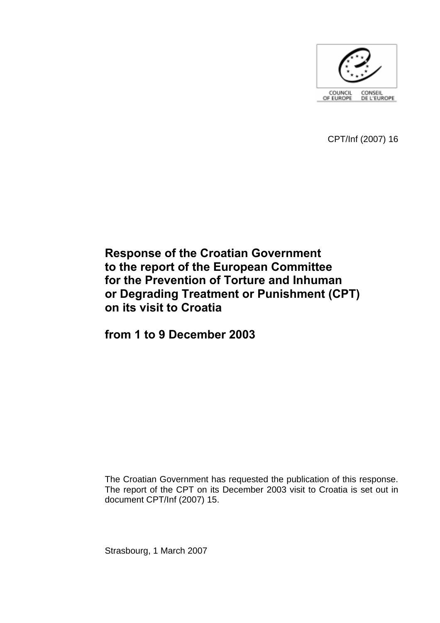

CPT/Inf (2007) 16

# **Response of the Croatian Government to the report of the European Committee for the Prevention of Torture and Inhuman or Degrading Treatment or Punishment (CPT) on its visit to Croatia**

**from 1 to 9 December 2003** 

The Croatian Government has requested the publication of this response. The report of the CPT on its December 2003 visit to Croatia is set out in document CPT/Inf (2007) 15.

Strasbourg, 1 March 2007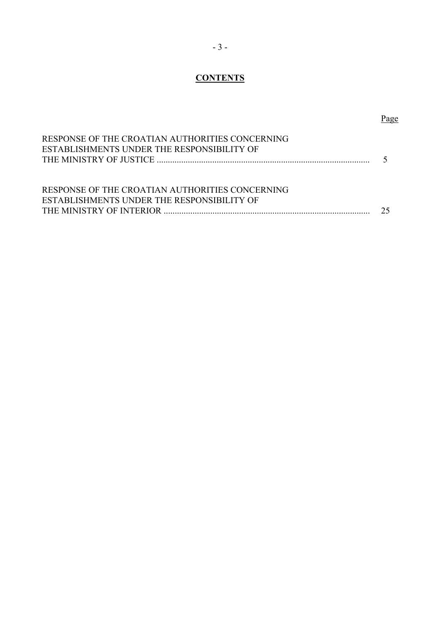# **CONTENTS**

| RESPONSE OF THE CROATIAN AUTHORITIES CONCERNING<br>ESTABLISHMENTS UNDER THE RESPONSIBILITY OF |    |
|-----------------------------------------------------------------------------------------------|----|
| RESPONSE OF THE CROATIAN AUTHORITIES CONCERNING<br>ESTABLISHMENTS UNDER THE RESPONSIBILITY OF | 75 |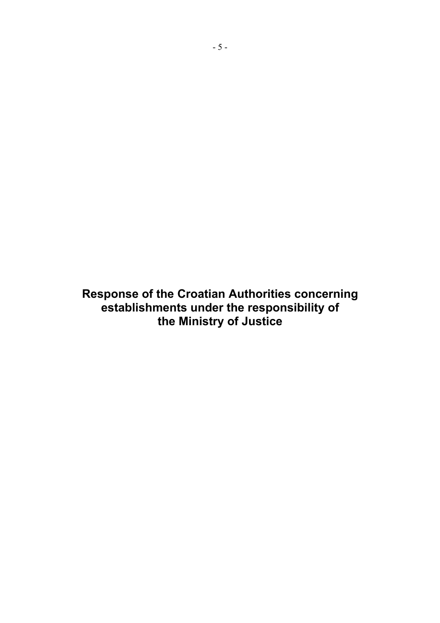**Response of the Croatian Authorities concerning establishments under the responsibility of the Ministry of Justice**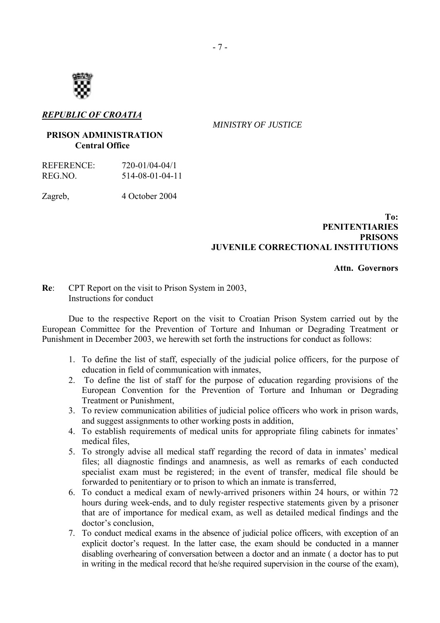

# *REPUBLIC OF CROATIA*

 *MINISTRY OF JUSTICE* 

#### **PRISON ADMINISTRATION Central Office**

| REFERENCE: | 720-01/04-04/1  |
|------------|-----------------|
| REG.NO.    | 514-08-01-04-11 |

Zagreb, 4 October 2004

### **To: PENITENTIARIES PRISONS JUVENILE CORRECTIONAL INSTITUTIONS**

### **Attn. Governors**

**Re**: CPT Report on the visit to Prison System in 2003, Instructions for conduct

Due to the respective Report on the visit to Croatian Prison System carried out by the European Committee for the Prevention of Torture and Inhuman or Degrading Treatment or Punishment in December 2003, we herewith set forth the instructions for conduct as follows:

- 1. To define the list of staff, especially of the judicial police officers, for the purpose of education in field of communication with inmates,
- 2. To define the list of staff for the purpose of education regarding provisions of the European Convention for the Prevention of Torture and Inhuman or Degrading Treatment or Punishment,
- 3. To review communication abilities of judicial police officers who work in prison wards, and suggest assignments to other working posts in addition,
- 4. To establish requirements of medical units for appropriate filing cabinets for inmates' medical files,
- 5. To strongly advise all medical staff regarding the record of data in inmates' medical files; all diagnostic findings and anamnesis, as well as remarks of each conducted specialist exam must be registered; in the event of transfer, medical file should be forwarded to penitentiary or to prison to which an inmate is transferred,
- 6. To conduct a medical exam of newly-arrived prisoners within 24 hours, or within 72 hours during week-ends, and to duly register respective statements given by a prisoner that are of importance for medical exam, as well as detailed medical findings and the doctor's conclusion.
- 7. To conduct medical exams in the absence of judicial police officers, with exception of an explicit doctor's request. In the latter case, the exam should be conducted in a manner disabling overhearing of conversation between a doctor and an inmate ( a doctor has to put in writing in the medical record that he/she required supervision in the course of the exam),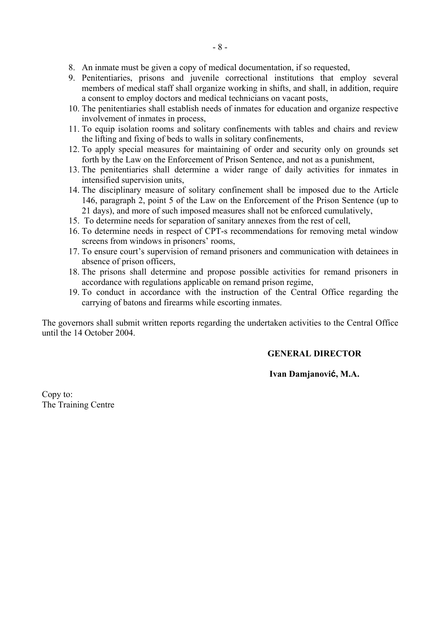- 8. An inmate must be given a copy of medical documentation, if so requested,
- 9. Penitentiaries, prisons and juvenile correctional institutions that employ several members of medical staff shall organize working in shifts, and shall, in addition, require a consent to employ doctors and medical technicians on vacant posts,
- 10. The penitentiaries shall establish needs of inmates for education and organize respective involvement of inmates in process,
- 11. To equip isolation rooms and solitary confinements with tables and chairs and review the lifting and fixing of beds to walls in solitary confinements,
- 12. To apply special measures for maintaining of order and security only on grounds set forth by the Law on the Enforcement of Prison Sentence, and not as a punishment,
- 13. The penitentiaries shall determine a wider range of daily activities for inmates in intensified supervision units,
- 14. The disciplinary measure of solitary confinement shall be imposed due to the Article 146, paragraph 2, point 5 of the Law on the Enforcement of the Prison Sentence (up to 21 days), and more of such imposed measures shall not be enforced cumulatively,
- 15. To determine needs for separation of sanitary annexes from the rest of cell,
- 16. To determine needs in respect of CPT-s recommendations for removing metal window screens from windows in prisoners' rooms,
- 17. To ensure court's supervision of remand prisoners and communication with detainees in absence of prison officers,
- 18. The prisons shall determine and propose possible activities for remand prisoners in accordance with regulations applicable on remand prison regime,
- 19. To conduct in accordance with the instruction of the Central Office regarding the carrying of batons and firearms while escorting inmates.

The governors shall submit written reports regarding the undertaken activities to the Central Office until the 14 October 2004.

# **GENERAL DIRECTOR**

# **Ivan Damjanović, M.A.**

Copy to: The Training Centre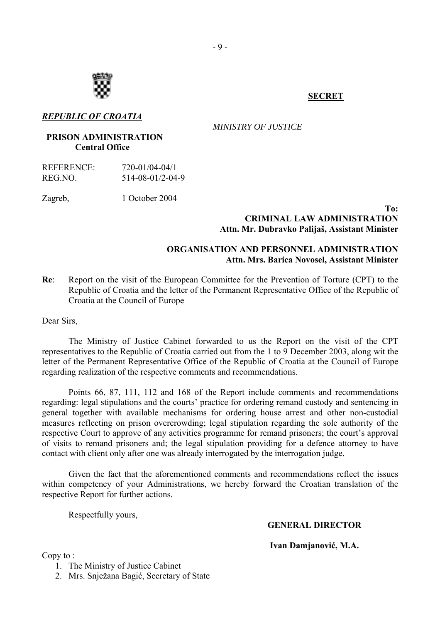

# *REPUBLIC OF CROATIA*

 *MINISTRY OF JUSTICE* 

# **PRISON ADMINISTRATION Central Office**

| REFERENCE: | 720-01/04-04/1   |
|------------|------------------|
| REG.NO.    | 514-08-01/2-04-9 |

Zagreb, 1 October 2004

#### **To: CRIMINAL LAW ADMINISTRATION Attn. Mr. Dubravko Palijaö, Assistant Minister**

# **ORGANISATION AND PERSONNEL ADMINISTRATION Attn. Mrs. Barica Novosel, Assistant Minister**

**Re**: Report on the visit of the European Committee for the Prevention of Torture (CPT) to the Republic of Croatia and the letter of the Permanent Representative Office of the Republic of Croatia at the Council of Europe

Dear Sirs,

The Ministry of Justice Cabinet forwarded to us the Report on the visit of the CPT representatives to the Republic of Croatia carried out from the 1 to 9 December 2003, along wit the letter of the Permanent Representative Office of the Republic of Croatia at the Council of Europe regarding realization of the respective comments and recommendations.

Points 66, 87, 111, 112 and 168 of the Report include comments and recommendations regarding: legal stipulations and the courts' practice for ordering remand custody and sentencing in general together with available mechanisms for ordering house arrest and other non-custodial measures reflecting on prison overcrowding; legal stipulation regarding the sole authority of the respective Court to approve of any activities programme for remand prisoners; the court's approval of visits to remand prisoners and; the legal stipulation providing for a defence attorney to have contact with client only after one was already interrogated by the interrogation judge.

Given the fact that the aforementioned comments and recommendations reflect the issues within competency of your Administrations, we hereby forward the Croatian translation of the respective Report for further actions.

Respectfully yours,

 **GENERAL DIRECTOR**

**Ivan Damjanović, M.A.** 

Copy to :

- 1. The Ministry of Justice Cabinet
- 2. Mrs. Snježana Bagić, Secretary of State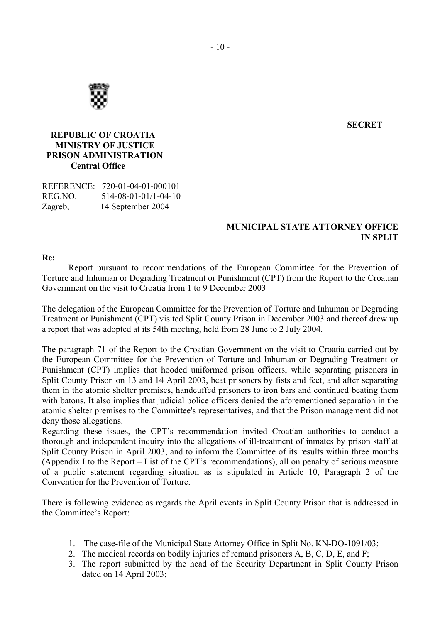

**SECRET** 

# **REPUBLIC OF CROATIA MINISTRY OF JUSTICE PRISON ADMINISTRATION Central Office**

REFERENCE: 720-01-04-01-000101 REG.NO. 514-08-01-01/1-04-10 Zagreb, 14 September 2004

# **MUNICIPAL STATE ATTORNEY OFFICE IN SPLIT**

#### **Re:**

Report pursuant to recommendations of the European Committee for the Prevention of Torture and Inhuman or Degrading Treatment or Punishment (CPT) from the Report to the Croatian Government on the visit to Croatia from 1 to 9 December 2003

The delegation of the European Committee for the Prevention of Torture and Inhuman or Degrading Treatment or Punishment (CPT) visited Split County Prison in December 2003 and thereof drew up a report that was adopted at its 54th meeting, held from 28 June to 2 July 2004.

The paragraph 71 of the Report to the Croatian Government on the visit to Croatia carried out by the European Committee for the Prevention of Torture and Inhuman or Degrading Treatment or Punishment (CPT) implies that hooded uniformed prison officers, while separating prisoners in Split County Prison on 13 and 14 April 2003, beat prisoners by fists and feet, and after separating them in the atomic shelter premises, handcuffed prisoners to iron bars and continued beating them with batons. It also implies that judicial police officers denied the aforementioned separation in the atomic shelter premises to the Committee's representatives, and that the Prison management did not deny those allegations.

Regarding these issues, the CPT's recommendation invited Croatian authorities to conduct a thorough and independent inquiry into the allegations of ill-treatment of inmates by prison staff at Split County Prison in April 2003, and to inform the Committee of its results within three months (Appendix I to the Report  $-$  List of the CPT's recommendations), all on penalty of serious measure of a public statement regarding situation as is stipulated in Article 10, Paragraph 2 of the Convention for the Prevention of Torture.

There is following evidence as regards the April events in Split County Prison that is addressed in the Committee's Report:

- 1. The case-file of the Municipal State Attorney Office in Split No. KN-DO-1091/03;
- 2. The medical records on bodily injuries of remand prisoners A, B, C, D, E, and F;
- 3. The report submitted by the head of the Security Department in Split County Prison dated on 14 April 2003;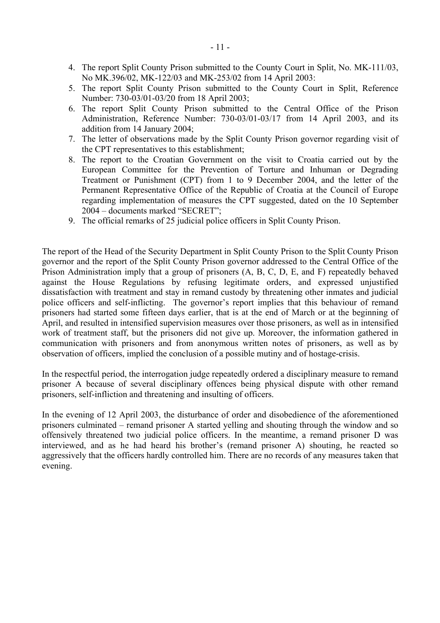- 4. The report Split County Prison submitted to the County Court in Split, No. MK-111/03, No MK.396/02, MK-122/03 and MK-253/02 from 14 April 2003:
- 5. The report Split County Prison submitted to the County Court in Split, Reference Number: 730-03/01-03/20 from 18 April 2003;
- 6. The report Split County Prison submitted to the Central Office of the Prison Administration, Reference Number: 730-03/01-03/17 from 14 April 2003, and its addition from 14 January 2004;
- 7. The letter of observations made by the Split County Prison governor regarding visit of the CPT representatives to this establishment;
- 8. The report to the Croatian Government on the visit to Croatia carried out by the European Committee for the Prevention of Torture and Inhuman or Degrading Treatment or Punishment (CPT) from 1 to 9 December 2004, and the letter of the Permanent Representative Office of the Republic of Croatia at the Council of Europe regarding implementation of measures the CPT suggested, dated on the 10 September 2004 – documents marked "SECRET";
- 9. The official remarks of 25 judicial police officers in Split County Prison.

The report of the Head of the Security Department in Split County Prison to the Split County Prison governor and the report of the Split County Prison governor addressed to the Central Office of the Prison Administration imply that a group of prisoners (A, B, C, D, E, and F) repeatedly behaved against the House Regulations by refusing legitimate orders, and expressed unjustified dissatisfaction with treatment and stay in remand custody by threatening other inmates and judicial police officers and self-inflicting. The governor's report implies that this behaviour of remand prisoners had started some fifteen days earlier, that is at the end of March or at the beginning of April, and resulted in intensified supervision measures over those prisoners, as well as in intensified work of treatment staff, but the prisoners did not give up. Moreover, the information gathered in communication with prisoners and from anonymous written notes of prisoners, as well as by observation of officers, implied the conclusion of a possible mutiny and of hostage-crisis.

In the respectful period, the interrogation judge repeatedly ordered a disciplinary measure to remand prisoner A because of several disciplinary offences being physical dispute with other remand prisoners, self-infliction and threatening and insulting of officers.

In the evening of 12 April 2003, the disturbance of order and disobedience of the aforementioned prisoners culminated – remand prisoner A started yelling and shouting through the window and so offensively threatened two judicial police officers. In the meantime, a remand prisoner D was interviewed, and as he had heard his brother's (remand prisoner A) shouting, he reacted so aggressively that the officers hardly controlled him. There are no records of any measures taken that evening.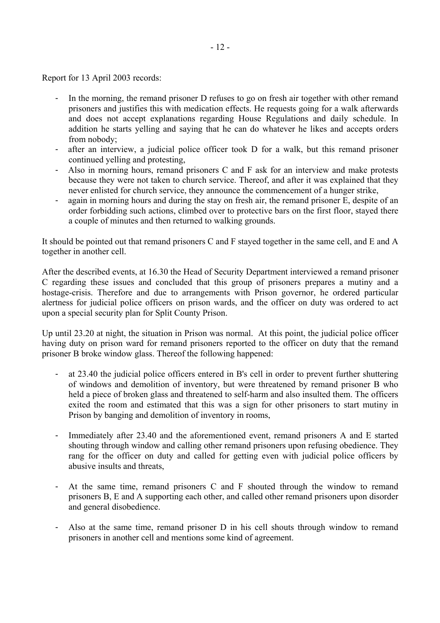Report for 13 April 2003 records:

- In the morning, the remand prisoner D refuses to go on fresh air together with other remand prisoners and justifies this with medication effects. He requests going for a walk afterwards and does not accept explanations regarding House Regulations and daily schedule. In addition he starts yelling and saying that he can do whatever he likes and accepts orders from nobody;
- after an interview, a judicial police officer took D for a walk, but this remand prisoner continued yelling and protesting,
- Also in morning hours, remand prisoners C and F ask for an interview and make protests because they were not taken to church service. Thereof, and after it was explained that they never enlisted for church service, they announce the commencement of a hunger strike,
- again in morning hours and during the stay on fresh air, the remand prisoner E, despite of an order forbidding such actions, climbed over to protective bars on the first floor, stayed there a couple of minutes and then returned to walking grounds.

It should be pointed out that remand prisoners C and F stayed together in the same cell, and E and A together in another cell.

After the described events, at 16.30 the Head of Security Department interviewed a remand prisoner C regarding these issues and concluded that this group of prisoners prepares a mutiny and a hostage-crisis. Therefore and due to arrangements with Prison governor, he ordered particular alertness for judicial police officers on prison wards, and the officer on duty was ordered to act upon a special security plan for Split County Prison.

Up until 23.20 at night, the situation in Prison was normal. At this point, the judicial police officer having duty on prison ward for remand prisoners reported to the officer on duty that the remand prisoner B broke window glass. Thereof the following happened:

- at 23.40 the judicial police officers entered in B's cell in order to prevent further shuttering of windows and demolition of inventory, but were threatened by remand prisoner B who held a piece of broken glass and threatened to self-harm and also insulted them. The officers exited the room and estimated that this was a sign for other prisoners to start mutiny in Prison by banging and demolition of inventory in rooms,
- Immediately after 23.40 and the aforementioned event, remand prisoners A and E started shouting through window and calling other remand prisoners upon refusing obedience. They rang for the officer on duty and called for getting even with judicial police officers by abusive insults and threats
- At the same time, remand prisoners C and F shouted through the window to remand prisoners B, E and A supporting each other, and called other remand prisoners upon disorder and general disobedience.
- Also at the same time, remand prisoner D in his cell shouts through window to remand prisoners in another cell and mentions some kind of agreement.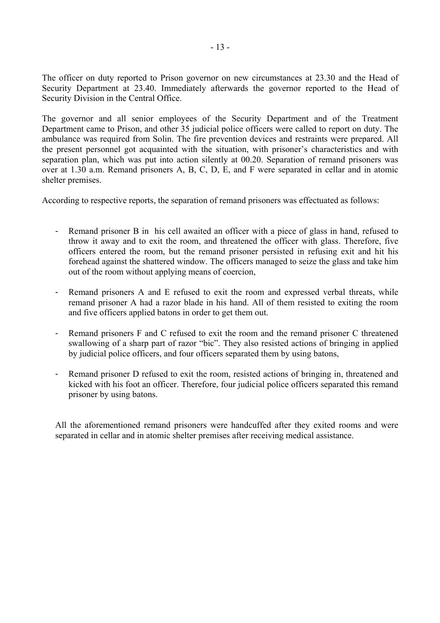The officer on duty reported to Prison governor on new circumstances at 23.30 and the Head of Security Department at 23.40. Immediately afterwards the governor reported to the Head of Security Division in the Central Office.

The governor and all senior employees of the Security Department and of the Treatment Department came to Prison, and other 35 judicial police officers were called to report on duty. The ambulance was required from Solin. The fire prevention devices and restraints were prepared. All the present personnel got acquainted with the situation, with prisoner's characteristics and with separation plan, which was put into action silently at 00.20. Separation of remand prisoners was over at 1.30 a.m. Remand prisoners A, B, C, D, E, and F were separated in cellar and in atomic shelter premises.

According to respective reports, the separation of remand prisoners was effectuated as follows:

- Remand prisoner B in his cell awaited an officer with a piece of glass in hand, refused to throw it away and to exit the room, and threatened the officer with glass. Therefore, five officers entered the room, but the remand prisoner persisted in refusing exit and hit his forehead against the shattered window. The officers managed to seize the glass and take him out of the room without applying means of coercion,
- Remand prisoners A and E refused to exit the room and expressed verbal threats, while remand prisoner A had a razor blade in his hand. All of them resisted to exiting the room and five officers applied batons in order to get them out.
- Remand prisoners F and C refused to exit the room and the remand prisoner C threatened swallowing of a sharp part of razor "bic". They also resisted actions of bringing in applied by judicial police officers, and four officers separated them by using batons,
- Remand prisoner D refused to exit the room, resisted actions of bringing in, threatened and kicked with his foot an officer. Therefore, four judicial police officers separated this remand prisoner by using batons.

All the aforementioned remand prisoners were handcuffed after they exited rooms and were separated in cellar and in atomic shelter premises after receiving medical assistance.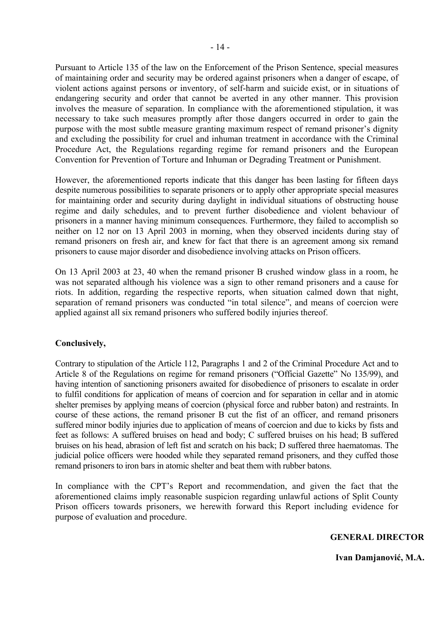Pursuant to Article 135 of the law on the Enforcement of the Prison Sentence, special measures of maintaining order and security may be ordered against prisoners when a danger of escape, of violent actions against persons or inventory, of self-harm and suicide exist, or in situations of endangering security and order that cannot be averted in any other manner. This provision involves the measure of separation. In compliance with the aforementioned stipulation, it was necessary to take such measures promptly after those dangers occurred in order to gain the purpose with the most subtle measure granting maximum respect of remand prisoner's dignity and excluding the possibility for cruel and inhuman treatment in accordance with the Criminal Procedure Act, the Regulations regarding regime for remand prisoners and the European Convention for Prevention of Torture and Inhuman or Degrading Treatment or Punishment.

However, the aforementioned reports indicate that this danger has been lasting for fifteen days despite numerous possibilities to separate prisoners or to apply other appropriate special measures for maintaining order and security during daylight in individual situations of obstructing house regime and daily schedules, and to prevent further disobedience and violent behaviour of prisoners in a manner having minimum consequences. Furthermore, they failed to accomplish so neither on 12 nor on 13 April 2003 in morning, when they observed incidents during stay of remand prisoners on fresh air, and knew for fact that there is an agreement among six remand prisoners to cause major disorder and disobedience involving attacks on Prison officers.

On 13 April 2003 at 23, 40 when the remand prisoner B crushed window glass in a room, he was not separated although his violence was a sign to other remand prisoners and a cause for riots. In addition, regarding the respective reports, when situation calmed down that night, separation of remand prisoners was conducted "in total silence", and means of coercion were applied against all six remand prisoners who suffered bodily injuries thereof.

### **Conclusively,**

Contrary to stipulation of the Article 112, Paragraphs 1 and 2 of the Criminal Procedure Act and to Article 8 of the Regulations on regime for remand prisoners ("Official Gazette" No 135/99), and having intention of sanctioning prisoners awaited for disobedience of prisoners to escalate in order to fulfil conditions for application of means of coercion and for separation in cellar and in atomic shelter premises by applying means of coercion (physical force and rubber baton) and restraints. In course of these actions, the remand prisoner B cut the fist of an officer, and remand prisoners suffered minor bodily injuries due to application of means of coercion and due to kicks by fists and feet as follows: A suffered bruises on head and body; C suffered bruises on his head; B suffered bruises on his head, abrasion of left fist and scratch on his back; D suffered three haematomas. The judicial police officers were hooded while they separated remand prisoners, and they cuffed those remand prisoners to iron bars in atomic shelter and beat them with rubber batons.

In compliance with the CPT's Report and recommendation, and given the fact that the aforementioned claims imply reasonable suspicion regarding unlawful actions of Split County Prison officers towards prisoners, we herewith forward this Report including evidence for purpose of evaluation and procedure.

### **GENERAL DIRECTOR**

 **Ivan Damjanović, M.A.**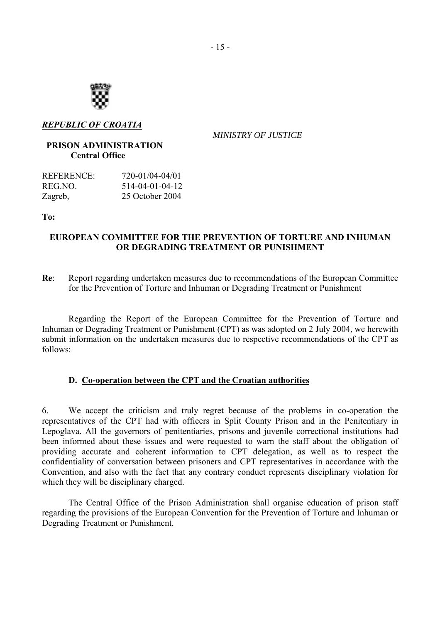

### *REPUBLIC OF CROATIA*

 *MINISTRY OF JUSTICE* 

# **PRISON ADMINISTRATION Central Office**

| REFERENCE: | 720-01/04-04/01 |
|------------|-----------------|
| REG.NO.    | 514-04-01-04-12 |
| Zagreb,    | 25 October 2004 |

### **To:**

# **EUROPEAN COMMITTEE FOR THE PREVENTION OF TORTURE AND INHUMAN OR DEGRADING TREATMENT OR PUNISHMENT**

**Re**: Report regarding undertaken measures due to recommendations of the European Committee for the Prevention of Torture and Inhuman or Degrading Treatment or Punishment

Regarding the Report of the European Committee for the Prevention of Torture and Inhuman or Degrading Treatment or Punishment (CPT) as was adopted on 2 July 2004, we herewith submit information on the undertaken measures due to respective recommendations of the CPT as follows:

### **D. Co-operation between the CPT and the Croatian authorities**

6. We accept the criticism and truly regret because of the problems in co-operation the representatives of the CPT had with officers in Split County Prison and in the Penitentiary in Lepoglava. All the governors of penitentiaries, prisons and juvenile correctional institutions had been informed about these issues and were requested to warn the staff about the obligation of providing accurate and coherent information to CPT delegation, as well as to respect the confidentiality of conversation between prisoners and CPT representatives in accordance with the Convention, and also with the fact that any contrary conduct represents disciplinary violation for which they will be disciplinary charged.

The Central Office of the Prison Administration shall organise education of prison staff regarding the provisions of the European Convention for the Prevention of Torture and Inhuman or Degrading Treatment or Punishment.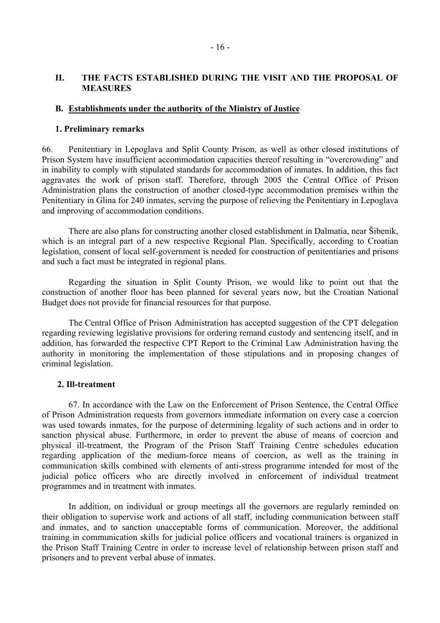# **II. THE FACTS ESTABLISHED DURING THE VISIT AND THE PROPOSAL OF MEASURES**

#### **B. Establishments under the authority of the Ministry of Justice**

#### **1. Preliminary remarks**

66. Penitentiary in Lepoglava and Split County Prison, as well as other closed institutions of Prison System have insufficient accommodation capacities thereof resulting in "overcrowding" and in inability to comply with stipulated standards for accommodation of inmates. In addition, this fact aggravates the work of prison staff. Therefore, through 2005 the Central Office of Prison Administration plans the construction of another closed-type accommodation premises within the Penitentiary in Glina for 240 inmates, serving the purpose of relieving the Penitentiary in Lepoglava and improving of accommodation conditions.

There are also plans for constructing another closed establishment in Dalmatia, near äibenik, which is an integral part of a new respective Regional Plan. Specifically, according to Croatian legislation, consent of local self-government is needed for construction of penitentiaries and prisons and such a fact must be integrated in regional plans.

 Regarding the situation in Split County Prison, we would like to point out that the construction of another floor has been planned for several years now, but the Croatian National Budget does not provide for financial resources for that purpose.

 The Central Office of Prison Administration has accepted suggestion of the CPT delegation regarding reviewing legislative provisions for ordering remand custody and sentencing itself, and in addition, has forwarded the respective CPT Report to the Criminal Law Administration having the authority in monitoring the implementation of those stipulations and in proposing changes of criminal legislation.

#### **2. Ill-treatment**

 67. In accordance with the Law on the Enforcement of Prison Sentence, the Central Office of Prison Administration requests from governors immediate information on every case a coercion was used towards inmates, for the purpose of determining legality of such actions and in order to sanction physical abuse. Furthermore, in order to prevent the abuse of means of coercion and physical ill-treatment, the Program of the Prison Staff Training Centre schedules education regarding application of the medium-force means of coercion, as well as the training in communication skills combined with elements of anti-stress programme intended for most of the judicial police officers who are directly involved in enforcement of individual treatment programmes and in treatment with inmates.

 In addition, on individual or group meetings all the governors are regularly reminded on their obligation to supervise work and actions of all staff, including communication between staff and inmates, and to sanction unacceptable forms of communication. Moreover, the additional training in communication skills for judicial police officers and vocational trainers is organized in the Prison Staff Training Centre in order to increase level of relationship between prison staff and prisoners and to prevent verbal abuse of inmates.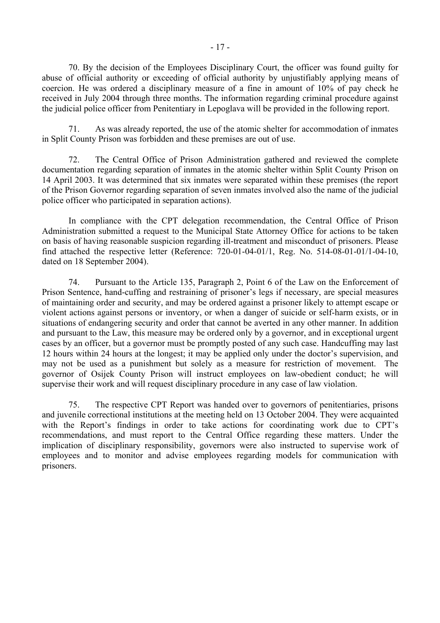70. By the decision of the Employees Disciplinary Court, the officer was found guilty for abuse of official authority or exceeding of official authority by unjustifiably applying means of coercion. He was ordered a disciplinary measure of a fine in amount of 10% of pay check he received in July 2004 through three months. The information regarding criminal procedure against the judicial police officer from Penitentiary in Lepoglava will be provided in the following report.

 71. As was already reported, the use of the atomic shelter for accommodation of inmates in Split County Prison was forbidden and these premises are out of use.

 72. The Central Office of Prison Administration gathered and reviewed the complete documentation regarding separation of inmates in the atomic shelter within Split County Prison on 14 April 2003. It was determined that six inmates were separated within these premises (the report of the Prison Governor regarding separation of seven inmates involved also the name of the judicial police officer who participated in separation actions).

 In compliance with the CPT delegation recommendation, the Central Office of Prison Administration submitted a request to the Municipal State Attorney Office for actions to be taken on basis of having reasonable suspicion regarding ill-treatment and misconduct of prisoners. Please find attached the respective letter (Reference: 720-01-04-01/1, Reg. No. 514-08-01-01/1-04-10, dated on 18 September 2004).

 74. Pursuant to the Article 135, Paragraph 2, Point 6 of the Law on the Enforcement of Prison Sentence, hand-cuffing and restraining of prisoner's legs if necessary, are special measures of maintaining order and security, and may be ordered against a prisoner likely to attempt escape or violent actions against persons or inventory, or when a danger of suicide or self-harm exists, or in situations of endangering security and order that cannot be averted in any other manner. In addition and pursuant to the Law, this measure may be ordered only by a governor, and in exceptional urgent cases by an officer, but a governor must be promptly posted of any such case. Handcuffing may last 12 hours within 24 hours at the longest; it may be applied only under the doctor's supervision, and may not be used as a punishment but solely as a measure for restriction of movement. The governor of Osijek County Prison will instruct employees on law-obedient conduct; he will supervise their work and will request disciplinary procedure in any case of law violation.

 75. The respective CPT Report was handed over to governors of penitentiaries, prisons and juvenile correctional institutions at the meeting held on 13 October 2004. They were acquainted with the Report's findings in order to take actions for coordinating work due to CPT's recommendations, and must report to the Central Office regarding these matters. Under the implication of disciplinary responsibility, governors were also instructed to supervise work of employees and to monitor and advise employees regarding models for communication with prisoners.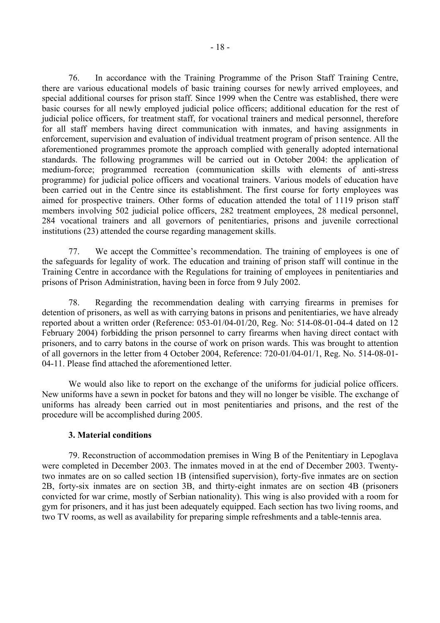76. In accordance with the Training Programme of the Prison Staff Training Centre, there are various educational models of basic training courses for newly arrived employees, and special additional courses for prison staff. Since 1999 when the Centre was established, there were basic courses for all newly employed judicial police officers; additional education for the rest of judicial police officers, for treatment staff, for vocational trainers and medical personnel, therefore for all staff members having direct communication with inmates, and having assignments in enforcement, supervision and evaluation of individual treatment program of prison sentence. All the aforementioned programmes promote the approach complied with generally adopted international standards. The following programmes will be carried out in October 2004: the application of medium-force; programmed recreation (communication skills with elements of anti-stress programme) for judicial police officers and vocational trainers. Various models of education have been carried out in the Centre since its establishment. The first course for forty employees was aimed for prospective trainers. Other forms of education attended the total of 1119 prison staff members involving 502 judicial police officers, 282 treatment employees, 28 medical personnel, 284 vocational trainers and all governors of penitentiaries, prisons and juvenile correctional institutions (23) attended the course regarding management skills.

 77. We accept the Committeeís recommendation. The training of employees is one of the safeguards for legality of work. The education and training of prison staff will continue in the Training Centre in accordance with the Regulations for training of employees in penitentiaries and prisons of Prison Administration, having been in force from 9 July 2002.

 78. Regarding the recommendation dealing with carrying firearms in premises for detention of prisoners, as well as with carrying batons in prisons and penitentiaries, we have already reported about a written order (Reference: 053-01/04-01/20, Reg. No: 514-08-01-04-4 dated on 12 February 2004) forbidding the prison personnel to carry firearms when having direct contact with prisoners, and to carry batons in the course of work on prison wards. This was brought to attention of all governors in the letter from 4 October 2004, Reference: 720-01/04-01/1, Reg. No. 514-08-01- 04-11. Please find attached the aforementioned letter.

 We would also like to report on the exchange of the uniforms for judicial police officers. New uniforms have a sewn in pocket for batons and they will no longer be visible. The exchange of uniforms has already been carried out in most penitentiaries and prisons, and the rest of the procedure will be accomplished during 2005.

### **3. Material conditions**

 79. Reconstruction of accommodation premises in Wing B of the Penitentiary in Lepoglava were completed in December 2003. The inmates moved in at the end of December 2003. Twentytwo inmates are on so called section 1B (intensified supervision), forty-five inmates are on section 2B, forty-six inmates are on section 3B, and thirty-eight inmates are on section 4B (prisoners convicted for war crime, mostly of Serbian nationality). This wing is also provided with a room for gym for prisoners, and it has just been adequately equipped. Each section has two living rooms, and two TV rooms, as well as availability for preparing simple refreshments and a table-tennis area.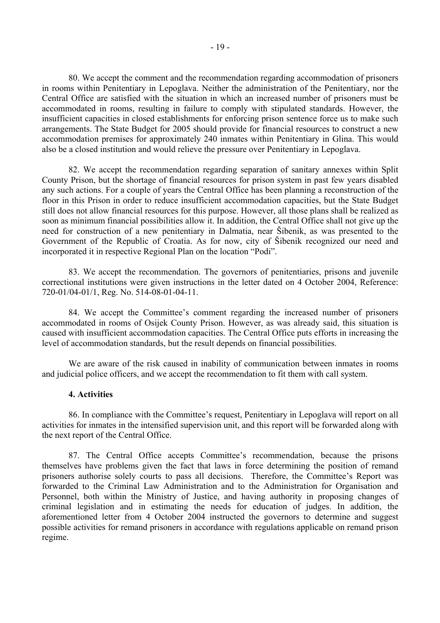80. We accept the comment and the recommendation regarding accommodation of prisoners in rooms within Penitentiary in Lepoglava. Neither the administration of the Penitentiary, nor the Central Office are satisfied with the situation in which an increased number of prisoners must be accommodated in rooms, resulting in failure to comply with stipulated standards. However, the insufficient capacities in closed establishments for enforcing prison sentence force us to make such arrangements. The State Budget for 2005 should provide for financial resources to construct a new accommodation premises for approximately 240 inmates within Penitentiary in Glina. This would also be a closed institution and would relieve the pressure over Penitentiary in Lepoglava.

82. We accept the recommendation regarding separation of sanitary annexes within Split County Prison, but the shortage of financial resources for prison system in past few years disabled any such actions. For a couple of years the Central Office has been planning a reconstruction of the floor in this Prison in order to reduce insufficient accommodation capacities, but the State Budget still does not allow financial resources for this purpose. However, all those plans shall be realized as soon as minimum financial possibilities allow it. In addition, the Central Office shall not give up the need for construction of a new penitentiary in Dalmatia, near äibenik, as was presented to the Government of the Republic of Croatia. As for now, city of äibenik recognized our need and incorporated it in respective Regional Plan on the location "Podi".

83. We accept the recommendation. The governors of penitentiaries, prisons and juvenile correctional institutions were given instructions in the letter dated on 4 October 2004, Reference: 720-01/04-01/1, Reg. No. 514-08-01-04-11.

84. We accept the Committee's comment regarding the increased number of prisoners accommodated in rooms of Osijek County Prison. However, as was already said, this situation is caused with insufficient accommodation capacities. The Central Office puts efforts in increasing the level of accommodation standards, but the result depends on financial possibilities.

We are aware of the risk caused in inability of communication between inmates in rooms and judicial police officers, and we accept the recommendation to fit them with call system.

#### **4. Activities**

86. In compliance with the Committee's request, Penitentiary in Lepoglava will report on all activities for inmates in the intensified supervision unit, and this report will be forwarded along with the next report of the Central Office.

87. The Central Office accepts Committee's recommendation, because the prisons themselves have problems given the fact that laws in force determining the position of remand prisoners authorise solely courts to pass all decisions. Therefore, the Committee's Report was forwarded to the Criminal Law Administration and to the Administration for Organisation and Personnel, both within the Ministry of Justice, and having authority in proposing changes of criminal legislation and in estimating the needs for education of judges. In addition, the aforementioned letter from 4 October 2004 instructed the governors to determine and suggest possible activities for remand prisoners in accordance with regulations applicable on remand prison regime.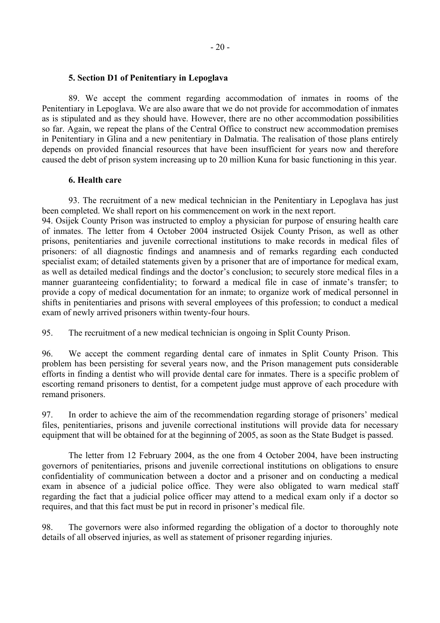#### **5. Section D1 of Penitentiary in Lepoglava**

 89. We accept the comment regarding accommodation of inmates in rooms of the Penitentiary in Lepoglava. We are also aware that we do not provide for accommodation of inmates as is stipulated and as they should have. However, there are no other accommodation possibilities so far. Again, we repeat the plans of the Central Office to construct new accommodation premises in Penitentiary in Glina and a new penitentiary in Dalmatia. The realisation of those plans entirely depends on provided financial resources that have been insufficient for years now and therefore caused the debt of prison system increasing up to 20 million Kuna for basic functioning in this year.

### **6. Health care**

 93. The recruitment of a new medical technician in the Penitentiary in Lepoglava has just been completed. We shall report on his commencement on work in the next report.

94. Osijek County Prison was instructed to employ a physician for purpose of ensuring health care of inmates. The letter from 4 October 2004 instructed Osijek County Prison, as well as other prisons, penitentiaries and juvenile correctional institutions to make records in medical files of prisoners: of all diagnostic findings and anamnesis and of remarks regarding each conducted specialist exam; of detailed statements given by a prisoner that are of importance for medical exam, as well as detailed medical findings and the doctor's conclusion; to securely store medical files in a manner guaranteeing confidentiality; to forward a medical file in case of inmate's transfer; to provide a copy of medical documentation for an inmate; to organize work of medical personnel in shifts in penitentiaries and prisons with several employees of this profession; to conduct a medical exam of newly arrived prisoners within twenty-four hours.

95. The recruitment of a new medical technician is ongoing in Split County Prison.

96. We accept the comment regarding dental care of inmates in Split County Prison. This problem has been persisting for several years now, and the Prison management puts considerable efforts in finding a dentist who will provide dental care for inmates. There is a specific problem of escorting remand prisoners to dentist, for a competent judge must approve of each procedure with remand prisoners.

97. In order to achieve the aim of the recommendation regarding storage of prisoners' medical files, penitentiaries, prisons and juvenile correctional institutions will provide data for necessary equipment that will be obtained for at the beginning of 2005, as soon as the State Budget is passed.

 The letter from 12 February 2004, as the one from 4 October 2004, have been instructing governors of penitentiaries, prisons and juvenile correctional institutions on obligations to ensure confidentiality of communication between a doctor and a prisoner and on conducting a medical exam in absence of a judicial police office. They were also obligated to warn medical staff regarding the fact that a judicial police officer may attend to a medical exam only if a doctor so requires, and that this fact must be put in record in prisoner's medical file.

98. The governors were also informed regarding the obligation of a doctor to thoroughly note details of all observed injuries, as well as statement of prisoner regarding injuries.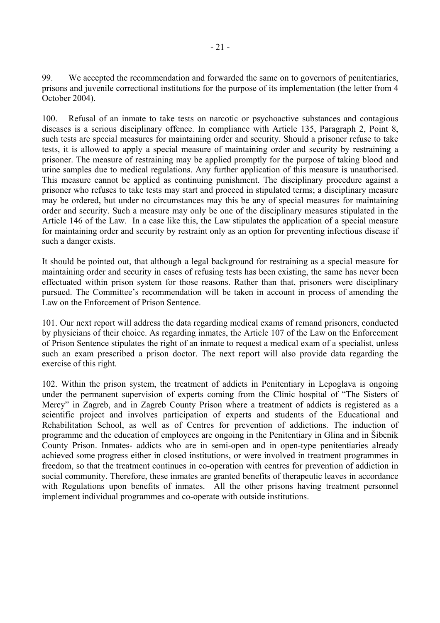99. We accepted the recommendation and forwarded the same on to governors of penitentiaries, prisons and juvenile correctional institutions for the purpose of its implementation (the letter from 4 October 2004).

100. Refusal of an inmate to take tests on narcotic or psychoactive substances and contagious diseases is a serious disciplinary offence. In compliance with Article 135, Paragraph 2, Point 8, such tests are special measures for maintaining order and security. Should a prisoner refuse to take tests, it is allowed to apply a special measure of maintaining order and security by restraining a prisoner. The measure of restraining may be applied promptly for the purpose of taking blood and urine samples due to medical regulations. Any further application of this measure is unauthorised. This measure cannot be applied as continuing punishment. The disciplinary procedure against a prisoner who refuses to take tests may start and proceed in stipulated terms; a disciplinary measure may be ordered, but under no circumstances may this be any of special measures for maintaining order and security. Such a measure may only be one of the disciplinary measures stipulated in the Article 146 of the Law. In a case like this, the Law stipulates the application of a special measure for maintaining order and security by restraint only as an option for preventing infectious disease if such a danger exists.

It should be pointed out, that although a legal background for restraining as a special measure for maintaining order and security in cases of refusing tests has been existing, the same has never been effectuated within prison system for those reasons. Rather than that, prisoners were disciplinary pursued. The Committee's recommendation will be taken in account in process of amending the Law on the Enforcement of Prison Sentence.

101. Our next report will address the data regarding medical exams of remand prisoners, conducted by physicians of their choice. As regarding inmates, the Article 107 of the Law on the Enforcement of Prison Sentence stipulates the right of an inmate to request a medical exam of a specialist, unless such an exam prescribed a prison doctor. The next report will also provide data regarding the exercise of this right.

102. Within the prison system, the treatment of addicts in Penitentiary in Lepoglava is ongoing under the permanent supervision of experts coming from the Clinic hospital of "The Sisters of Mercy" in Zagreb, and in Zagreb County Prison where a treatment of addicts is registered as a scientific project and involves participation of experts and students of the Educational and Rehabilitation School, as well as of Centres for prevention of addictions. The induction of programme and the education of employees are ongoing in the Penitentiary in Glina and in äibenik County Prison. Inmates- addicts who are in semi-open and in open-type penitentiaries already achieved some progress either in closed institutions, or were involved in treatment programmes in freedom, so that the treatment continues in co-operation with centres for prevention of addiction in social community. Therefore, these inmates are granted benefits of therapeutic leaves in accordance with Regulations upon benefits of inmates. All the other prisons having treatment personnel implement individual programmes and co-operate with outside institutions.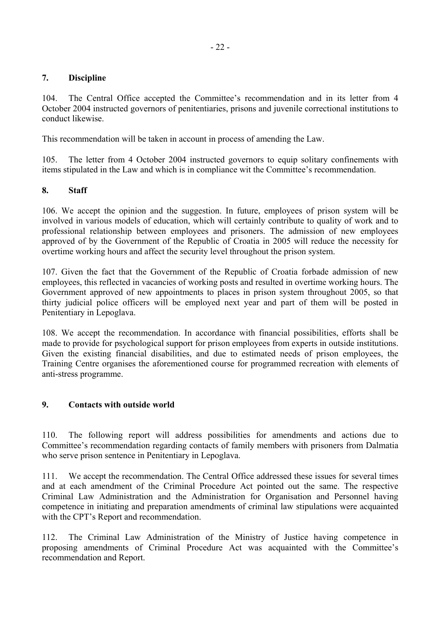# **7. Discipline**

104. The Central Office accepted the Committee's recommendation and in its letter from 4 October 2004 instructed governors of penitentiaries, prisons and juvenile correctional institutions to conduct likewise.

This recommendation will be taken in account in process of amending the Law.

105. The letter from 4 October 2004 instructed governors to equip solitary confinements with items stipulated in the Law and which is in compliance wit the Committee's recommendation.

# **8. Staff**

106. We accept the opinion and the suggestion. In future, employees of prison system will be involved in various models of education, which will certainly contribute to quality of work and to professional relationship between employees and prisoners. The admission of new employees approved of by the Government of the Republic of Croatia in 2005 will reduce the necessity for overtime working hours and affect the security level throughout the prison system.

107. Given the fact that the Government of the Republic of Croatia forbade admission of new employees, this reflected in vacancies of working posts and resulted in overtime working hours. The Government approved of new appointments to places in prison system throughout 2005, so that thirty judicial police officers will be employed next year and part of them will be posted in Penitentiary in Lepoglava.

108. We accept the recommendation. In accordance with financial possibilities, efforts shall be made to provide for psychological support for prison employees from experts in outside institutions. Given the existing financial disabilities, and due to estimated needs of prison employees, the Training Centre organises the aforementioned course for programmed recreation with elements of anti-stress programme.

# **9. Contacts with outside world**

110. The following report will address possibilities for amendments and actions due to Committee's recommendation regarding contacts of family members with prisoners from Dalmatia who serve prison sentence in Penitentiary in Lepoglava.

111. We accept the recommendation. The Central Office addressed these issues for several times and at each amendment of the Criminal Procedure Act pointed out the same. The respective Criminal Law Administration and the Administration for Organisation and Personnel having competence in initiating and preparation amendments of criminal law stipulations were acquainted with the CPT's Report and recommendation.

112. The Criminal Law Administration of the Ministry of Justice having competence in proposing amendments of Criminal Procedure Act was acquainted with the Committee's recommendation and Report.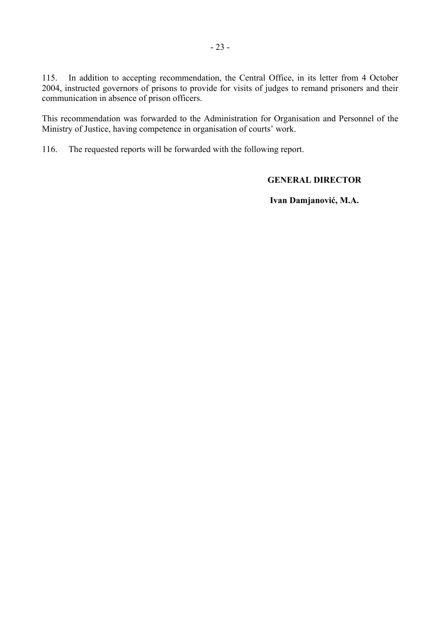115. In addition to accepting recommendation, the Central Office, in its letter from 4 October 2004, instructed governors of prisons to provide for visits of judges to remand prisoners and their communication in absence of prison officers.

This recommendation was forwarded to the Administration for Organisation and Personnel of the Ministry of Justice, having competence in organisation of courts' work.

116. The requested reports will be forwarded with the following report.

# **GENERAL DIRECTOR**

 **Ivan Damjanović, M.A.**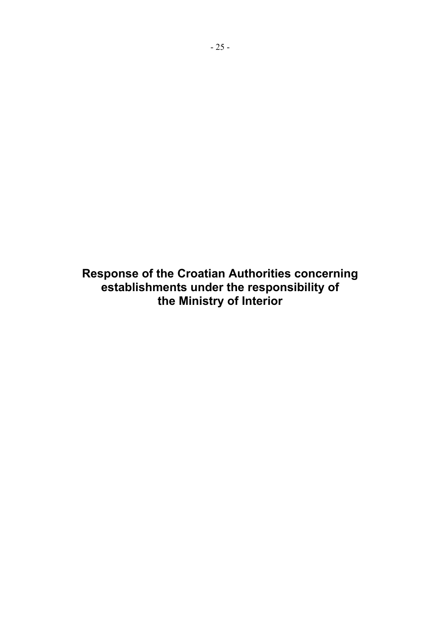**Response of the Croatian Authorities concerning establishments under the responsibility of the Ministry of Interior**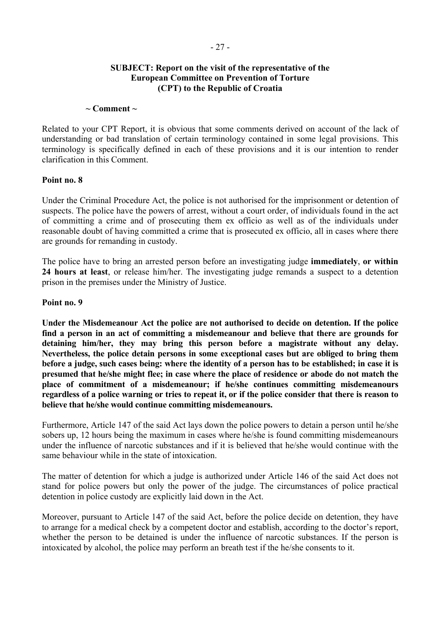# **SUBJECT: Report on the visit of the representative of the European Committee on Prevention of Torture (CPT) to the Republic of Croatia**

#### $\sim$  Comment  $\sim$

Related to your CPT Report, it is obvious that some comments derived on account of the lack of understanding or bad translation of certain terminology contained in some legal provisions. This terminology is specifically defined in each of these provisions and it is our intention to render clarification in this Comment.

### **Point no. 8**

Under the Criminal Procedure Act, the police is not authorised for the imprisonment or detention of suspects. The police have the powers of arrest, without a court order, of individuals found in the act of committing a crime and of prosecuting them ex officio as well as of the individuals under reasonable doubt of having committed a crime that is prosecuted ex officio, all in cases where there are grounds for remanding in custody.

The police have to bring an arrested person before an investigating judge **immediately**, **or within 24 hours at least**, or release him/her. The investigating judge remands a suspect to a detention prison in the premises under the Ministry of Justice.

### **Point no. 9**

**Under the Misdemeanour Act the police are not authorised to decide on detention. If the police find a person in an act of committing a misdemeanour and believe that there are grounds for detaining him/her, they may bring this person before a magistrate without any delay. Nevertheless, the police detain persons in some exceptional cases but are obliged to bring them before a judge, such cases being: where the identity of a person has to be established; in case it is presumed that he/she might flee; in case where the place of residence or abode do not match the place of commitment of a misdemeanour; if he/she continues committing misdemeanours regardless of a police warning or tries to repeat it, or if the police consider that there is reason to believe that he/she would continue committing misdemeanours.** 

Furthermore, Article 147 of the said Act lays down the police powers to detain a person until he/she sobers up, 12 hours being the maximum in cases where he/she is found committing misdemeanours under the influence of narcotic substances and if it is believed that he/she would continue with the same behaviour while in the state of intoxication.

The matter of detention for which a judge is authorized under Article 146 of the said Act does not stand for police powers but only the power of the judge. The circumstances of police practical detention in police custody are explicitly laid down in the Act.

Moreover, pursuant to Article 147 of the said Act, before the police decide on detention, they have to arrange for a medical check by a competent doctor and establish, according to the doctor's report, whether the person to be detained is under the influence of narcotic substances. If the person is intoxicated by alcohol, the police may perform an breath test if the he/she consents to it.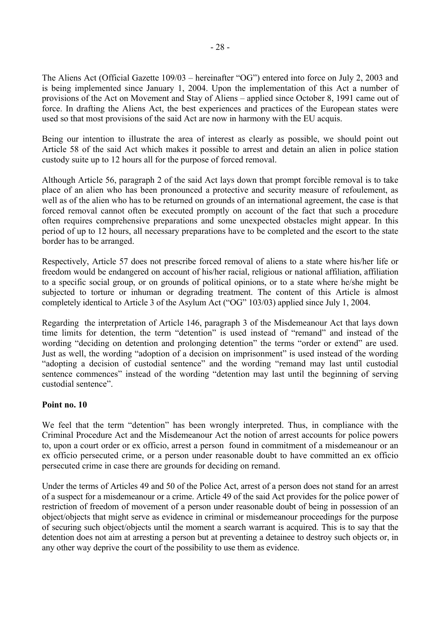The Aliens Act (Official Gazette  $109/03$  – hereinafter "OG") entered into force on July 2, 2003 and is being implemented since January 1, 2004. Upon the implementation of this Act a number of provisions of the Act on Movement and Stay of Aliens – applied since October 8, 1991 came out of force. In drafting the Aliens Act, the best experiences and practices of the European states were used so that most provisions of the said Act are now in harmony with the EU acquis.

Being our intention to illustrate the area of interest as clearly as possible, we should point out Article 58 of the said Act which makes it possible to arrest and detain an alien in police station custody suite up to 12 hours all for the purpose of forced removal.

Although Article 56, paragraph 2 of the said Act lays down that prompt forcible removal is to take place of an alien who has been pronounced a protective and security measure of refoulement, as well as of the alien who has to be returned on grounds of an international agreement, the case is that forced removal cannot often be executed promptly on account of the fact that such a procedure often requires comprehensive preparations and some unexpected obstacles might appear. In this period of up to 12 hours, all necessary preparations have to be completed and the escort to the state border has to be arranged.

Respectively, Article 57 does not prescribe forced removal of aliens to a state where his/her life or freedom would be endangered on account of his/her racial, religious or national affiliation, affiliation to a specific social group, or on grounds of political opinions, or to a state where he/she might be subjected to torture or inhuman or degrading treatment. The content of this Article is almost completely identical to Article 3 of the Asylum Act ("OG" 103/03) applied since July 1, 2004.

Regarding the interpretation of Article 146, paragraph 3 of the Misdemeanour Act that lays down time limits for detention, the term "detention" is used instead of "remand" and instead of the wording "deciding on detention and prolonging detention" the terms "order or extend" are used. Just as well, the wording "adoption of a decision on imprisonment" is used instead of the wording "adopting a decision of custodial sentence" and the wording "remand may last until custodial sentence commences" instead of the wording "detention may last until the beginning of serving custodial sentence".

# **Point no. 10**

We feel that the term "detention" has been wrongly interpreted. Thus, in compliance with the Criminal Procedure Act and the Misdemeanour Act the notion of arrest accounts for police powers to, upon a court order or ex officio, arrest a person found in commitment of a misdemeanour or an ex officio persecuted crime, or a person under reasonable doubt to have committed an ex officio persecuted crime in case there are grounds for deciding on remand.

Under the terms of Articles 49 and 50 of the Police Act, arrest of a person does not stand for an arrest of a suspect for a misdemeanour or a crime. Article 49 of the said Act provides for the police power of restriction of freedom of movement of a person under reasonable doubt of being in possession of an object/objects that might serve as evidence in criminal or misdemeanour proceedings for the purpose of securing such object/objects until the moment a search warrant is acquired. This is to say that the detention does not aim at arresting a person but at preventing a detainee to destroy such objects or, in any other way deprive the court of the possibility to use them as evidence.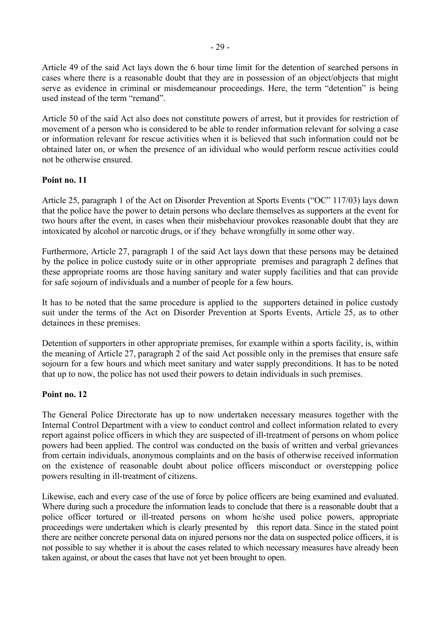Article 49 of the said Act lays down the 6 hour time limit for the detention of searched persons in cases where there is a reasonable doubt that they are in possession of an object/objects that might serve as evidence in criminal or misdemeanour proceedings. Here, the term "detention" is being used instead of the term "remand"

Article 50 of the said Act also does not constitute powers of arrest, but it provides for restriction of movement of a person who is considered to be able to render information relevant for solving a case or information relevant for rescue activities when it is believed that such information could not be obtained later on, or when the presence of an idividual who would perform rescue activities could not be otherwise ensured.

# **Point no. 11**

Article 25, paragraph 1 of the Act on Disorder Prevention at Sports Events ( $\degree$ OC $\degree$  117/03) lays down that the police have the power to detain persons who declare themselves as supporters at the event for two hours after the event, in cases when their misbehaviour provokes reasonable doubt that they are intoxicated by alcohol or narcotic drugs, or if they behave wrongfully in some other way.

Furthermore, Article 27, paragraph 1 of the said Act lays down that these persons may be detained by the police in police custody suite or in other appropriate premises and paragraph 2 defines that these appropriate rooms are those having sanitary and water supply facilities and that can provide for safe sojourn of individuals and a number of people for a few hours.

It has to be noted that the same procedure is applied to the supporters detained in police custody suit under the terms of the Act on Disorder Prevention at Sports Events, Article 25, as to other detainees in these premises.

Detention of supporters in other appropriate premises, for example within a sports facility, is, within the meaning of Article 27, paragraph 2 of the said Act possible only in the premises that ensure safe sojourn for a few hours and which meet sanitary and water supply preconditions. It has to be noted that up to now, the police has not used their powers to detain individuals in such premises.

# **Point no. 12**

The General Police Directorate has up to now undertaken necessary measures together with the Internal Control Department with a view to conduct control and collect information related to every report against police officers in which they are suspected of ill-treatment of persons on whom police powers had been applied. The control was conducted on the basis of written and verbal grievances from certain individuals, anonymous complaints and on the basis of otherwise received information on the existence of reasonable doubt about police officers misconduct or overstepping police powers resulting in ill-treatment of citizens.

Likewise, each and every case of the use of force by police officers are being examined and evaluated. Where during such a procedure the information leads to conclude that there is a reasonable doubt that a police officer tortured or ill-treated persons on whom he/she used police powers, appropriate proceedings were undertaken which is clearly presented by this report data. Since in the stated point there are neither concrete personal data on injured persons nor the data on suspected police officers, it is not possible to say whether it is about the cases related to which necessary measures have already been taken against, or about the cases that have not yet been brought to open.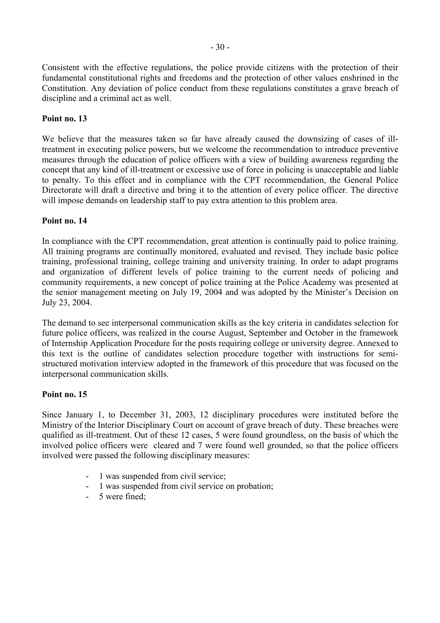Consistent with the effective regulations, the police provide citizens with the protection of their fundamental constitutional rights and freedoms and the protection of other values enshrined in the Constitution. Any deviation of police conduct from these regulations constitutes a grave breach of discipline and a criminal act as well.

# **Point no. 13**

We believe that the measures taken so far have already caused the downsizing of cases of illtreatment in executing police powers, but we welcome the recommendation to introduce preventive measures through the education of police officers with a view of building awareness regarding the concept that any kind of ill-treatment or excessive use of force in policing is unacceptable and liable to penalty. To this effect and in compliance with the CPT recommendation, the General Police Directorate will draft a directive and bring it to the attention of every police officer. The directive will impose demands on leadership staff to pay extra attention to this problem area.

# **Point no. 14**

In compliance with the CPT recommendation, great attention is continually paid to police training. All training programs are continually monitored, evaluated and revised. They include basic police training, professional training, college training and university training. In order to adapt programs and organization of different levels of police training to the current needs of policing and community requirements, a new concept of police training at the Police Academy was presented at the senior management meeting on July 19, 2004 and was adopted by the Minister's Decision on July 23, 2004.

The demand to see interpersonal communication skills as the key criteria in candidates selection for future police officers, was realized in the course August, September and October in the framework of Internship Application Procedure for the posts requiring college or university degree. Annexed to this text is the outline of candidates selection procedure together with instructions for semistructured motivation interview adopted in the framework of this procedure that was focused on the interpersonal communication skills.

# **Point no. 15**

Since January 1, to December 31, 2003, 12 disciplinary procedures were instituted before the Ministry of the Interior Disciplinary Court on account of grave breach of duty. These breaches were qualified as ill-treatment. Out of these 12 cases, 5 were found groundless, on the basis of which the involved police officers were cleared and 7 were found well grounded, so that the police officers involved were passed the following disciplinary measures:

- 1 was suspended from civil service:
- 1 was suspended from civil service on probation;
- 5 were fined;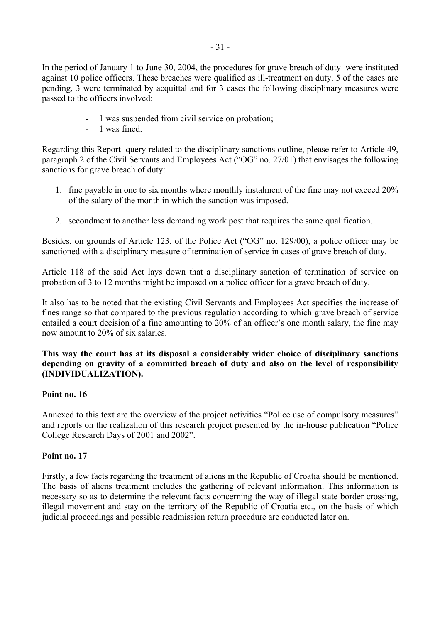In the period of January 1 to June 30, 2004, the procedures for grave breach of duty were instituted against 10 police officers. These breaches were qualified as ill-treatment on duty. 5 of the cases are pending, 3 were terminated by acquittal and for 3 cases the following disciplinary measures were passed to the officers involved:

- 1 was suspended from civil service on probation;
- 1 was fined.

Regarding this Report query related to the disciplinary sanctions outline, please refer to Article 49, paragraph 2 of the Civil Servants and Employees Act ("OG" no.  $27/01$ ) that envisages the following sanctions for grave breach of duty:

- 1. fine payable in one to six months where monthly instalment of the fine may not exceed 20% of the salary of the month in which the sanction was imposed.
- 2. secondment to another less demanding work post that requires the same qualification.

Besides, on grounds of Article 123, of the Police Act ("OG" no. 129/00), a police officer may be sanctioned with a disciplinary measure of termination of service in cases of grave breach of duty.

Article 118 of the said Act lays down that a disciplinary sanction of termination of service on probation of 3 to 12 months might be imposed on a police officer for a grave breach of duty.

It also has to be noted that the existing Civil Servants and Employees Act specifies the increase of fines range so that compared to the previous regulation according to which grave breach of service entailed a court decision of a fine amounting to 20% of an officer's one month salary, the fine may now amount to 20% of six salaries.

# **This way the court has at its disposal a considerably wider choice of disciplinary sanctions depending on gravity of a committed breach of duty and also on the level of responsibility (INDIVIDUALIZATION).**

# **Point no. 16**

Annexed to this text are the overview of the project activities "Police use of compulsory measures" and reports on the realization of this research project presented by the in-house publication "Police" College Research Days of 2001 and 2002".

# **Point no. 17**

Firstly, a few facts regarding the treatment of aliens in the Republic of Croatia should be mentioned. The basis of aliens treatment includes the gathering of relevant information. This information is necessary so as to determine the relevant facts concerning the way of illegal state border crossing, illegal movement and stay on the territory of the Republic of Croatia etc., on the basis of which judicial proceedings and possible readmission return procedure are conducted later on.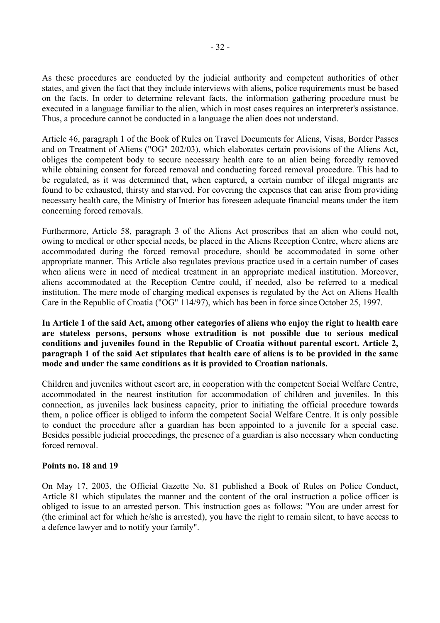As these procedures are conducted by the judicial authority and competent authorities of other states, and given the fact that they include interviews with aliens, police requirements must be based on the facts. In order to determine relevant facts, the information gathering procedure must be executed in a language familiar to the alien, which in most cases requires an interpreter's assistance. Thus, a procedure cannot be conducted in a language the alien does not understand.

Article 46, paragraph 1 of the Book of Rules on Travel Documents for Aliens, Visas, Border Passes and on Treatment of Aliens ("OG" 202/03), which elaborates certain provisions of the Aliens Act, obliges the competent body to secure necessary health care to an alien being forcedly removed while obtaining consent for forced removal and conducting forced removal procedure. This had to be regulated, as it was determined that, when captured, a certain number of illegal migrants are found to be exhausted, thirsty and starved. For covering the expenses that can arise from providing necessary health care, the Ministry of Interior has foreseen adequate financial means under the item concerning forced removals.

Furthermore, Article 58, paragraph 3 of the Aliens Act proscribes that an alien who could not, owing to medical or other special needs, be placed in the Aliens Reception Centre, where aliens are accommodated during the forced removal procedure, should be accommodated in some other appropriate manner. This Article also regulates previous practice used in a certain number of cases when aliens were in need of medical treatment in an appropriate medical institution. Moreover, aliens accommodated at the Reception Centre could, if needed, also be referred to a medical institution. The mere mode of charging medical expenses is regulated by the Act on Aliens Health Care in the Republic of Croatia ("OG" 114/97), which has been in force since October 25, 1997.

**In Article 1 of the said Act, among other categories of aliens who enjoy the right to health care are stateless persons, persons whose extradition is not possible due to serious medical conditions and juveniles found in the Republic of Croatia without parental escort. Article 2, paragraph 1 of the said Act stipulates that health care of aliens is to be provided in the same mode and under the same conditions as it is provided to Croatian nationals.** 

Children and juveniles without escort are, in cooperation with the competent Social Welfare Centre, accommodated in the nearest institution for accommodation of children and juveniles. In this connection, as juveniles lack business capacity, prior to initiating the official procedure towards them, a police officer is obliged to inform the competent Social Welfare Centre. It is only possible to conduct the procedure after a guardian has been appointed to a juvenile for a special case. Besides possible judicial proceedings, the presence of a guardian is also necessary when conducting forced removal.

### **Points no. 18 and 19**

On May 17, 2003, the Official Gazette No. 81 published a Book of Rules on Police Conduct, Article 81 which stipulates the manner and the content of the oral instruction a police officer is obliged to issue to an arrested person. This instruction goes as follows: "You are under arrest for (the criminal act for which he/she is arrested), you have the right to remain silent, to have access to a defence lawyer and to notify your family".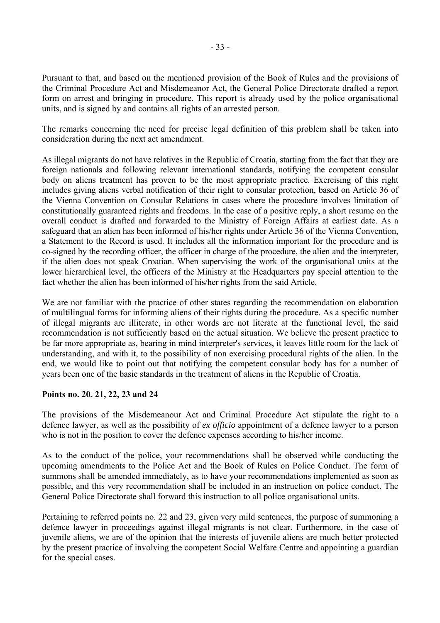Pursuant to that, and based on the mentioned provision of the Book of Rules and the provisions of the Criminal Procedure Act and Misdemeanor Act, the General Police Directorate drafted a report form on arrest and bringing in procedure. This report is already used by the police organisational units, and is signed by and contains all rights of an arrested person.

The remarks concerning the need for precise legal definition of this problem shall be taken into consideration during the next act amendment.

As illegal migrants do not have relatives in the Republic of Croatia, starting from the fact that they are foreign nationals and following relevant international standards, notifying the competent consular body on aliens treatment has proven to be the most appropriate practice. Exercising of this right includes giving aliens verbal notification of their right to consular protection, based on Article 36 of the Vienna Convention on Consular Relations in cases where the procedure involves limitation of constitutionally guaranteed rights and freedoms. In the case of a positive reply, a short resume on the overall conduct is drafted and forwarded to the Ministry of Foreign Affairs at earliest date. As a safeguard that an alien has been informed of his/her rights under Article 36 of the Vienna Convention, a Statement to the Record is used. It includes all the information important for the procedure and is co-signed by the recording officer, the officer in charge of the procedure, the alien and the interpreter, if the alien does not speak Croatian. When supervising the work of the organisational units at the lower hierarchical level, the officers of the Ministry at the Headquarters pay special attention to the fact whether the alien has been informed of his/her rights from the said Article.

We are not familiar with the practice of other states regarding the recommendation on elaboration of multilingual forms for informing aliens of their rights during the procedure. As a specific number of illegal migrants are illiterate, in other words are not literate at the functional level, the said recommendation is not sufficiently based on the actual situation. We believe the present practice to be far more appropriate as, bearing in mind interpreter's services, it leaves little room for the lack of understanding, and with it, to the possibility of non exercising procedural rights of the alien. In the end, we would like to point out that notifying the competent consular body has for a number of years been one of the basic standards in the treatment of aliens in the Republic of Croatia.

### **Points no. 20, 21, 22, 23 and 24**

The provisions of the Misdemeanour Act and Criminal Procedure Act stipulate the right to a defence lawyer, as well as the possibility of *ex officio* appointment of a defence lawyer to a person who is not in the position to cover the defence expenses according to his/her income.

As to the conduct of the police, your recommendations shall be observed while conducting the upcoming amendments to the Police Act and the Book of Rules on Police Conduct. The form of summons shall be amended immediately, as to have your recommendations implemented as soon as possible, and this very recommendation shall be included in an instruction on police conduct. The General Police Directorate shall forward this instruction to all police organisational units.

Pertaining to referred points no. 22 and 23, given very mild sentences, the purpose of summoning a defence lawyer in proceedings against illegal migrants is not clear. Furthermore, in the case of juvenile aliens, we are of the opinion that the interests of juvenile aliens are much better protected by the present practice of involving the competent Social Welfare Centre and appointing a guardian for the special cases.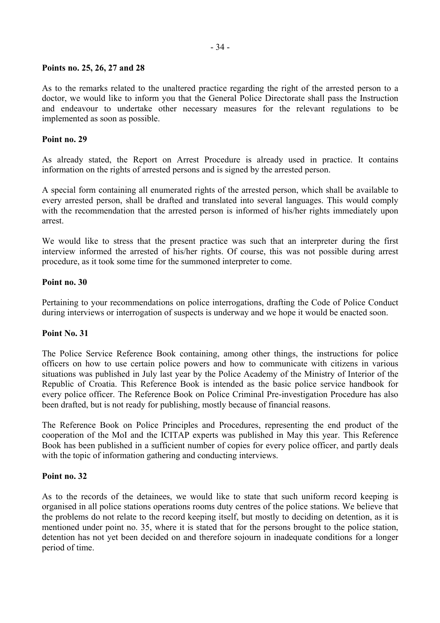# **Points no. 25, 26, 27 and 28**

As to the remarks related to the unaltered practice regarding the right of the arrested person to a doctor, we would like to inform you that the General Police Directorate shall pass the Instruction and endeavour to undertake other necessary measures for the relevant regulations to be implemented as soon as possible.

# **Point no. 29**

As already stated, the Report on Arrest Procedure is already used in practice. It contains information on the rights of arrested persons and is signed by the arrested person.

A special form containing all enumerated rights of the arrested person, which shall be available to every arrested person, shall be drafted and translated into several languages. This would comply with the recommendation that the arrested person is informed of his/her rights immediately upon arrest.

We would like to stress that the present practice was such that an interpreter during the first interview informed the arrested of his/her rights. Of course, this was not possible during arrest procedure, as it took some time for the summoned interpreter to come.

### **Point no. 30**

Pertaining to your recommendations on police interrogations, drafting the Code of Police Conduct during interviews or interrogation of suspects is underway and we hope it would be enacted soon.

### **Point No. 31**

The Police Service Reference Book containing, among other things, the instructions for police officers on how to use certain police powers and how to communicate with citizens in various situations was published in July last year by the Police Academy of the Ministry of Interior of the Republic of Croatia. This Reference Book is intended as the basic police service handbook for every police officer. The Reference Book on Police Criminal Pre-investigation Procedure has also been drafted, but is not ready for publishing, mostly because of financial reasons.

The Reference Book on Police Principles and Procedures, representing the end product of the cooperation of the MoI and the ICITAP experts was published in May this year. This Reference Book has been published in a sufficient number of copies for every police officer, and partly deals with the topic of information gathering and conducting interviews.

### **Point no. 32**

As to the records of the detainees, we would like to state that such uniform record keeping is organised in all police stations operations rooms duty centres of the police stations. We believe that the problems do not relate to the record keeping itself, but mostly to deciding on detention, as it is mentioned under point no. 35, where it is stated that for the persons brought to the police station, detention has not yet been decided on and therefore sojourn in inadequate conditions for a longer period of time.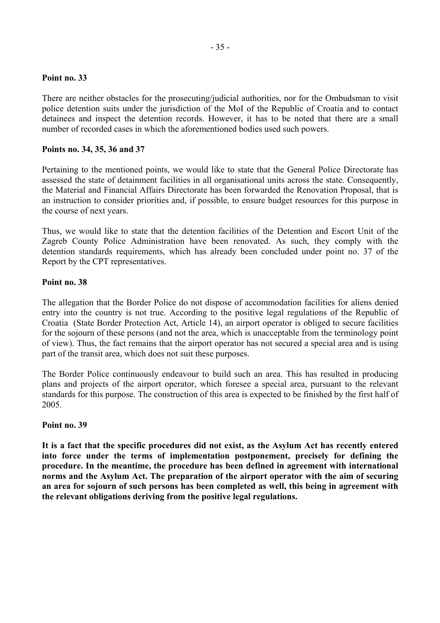There are neither obstacles for the prosecuting/judicial authorities, nor for the Ombudsman to visit police detention suits under the jurisdiction of the MoI of the Republic of Croatia and to contact detainees and inspect the detention records. However, it has to be noted that there are a small number of recorded cases in which the aforementioned bodies used such powers.

#### **Points no. 34, 35, 36 and 37**

Pertaining to the mentioned points, we would like to state that the General Police Directorate has assessed the state of detainment facilities in all organisational units across the state. Consequently, the Material and Financial Affairs Directorate has been forwarded the Renovation Proposal, that is an instruction to consider priorities and, if possible, to ensure budget resources for this purpose in the course of next years.

Thus, we would like to state that the detention facilities of the Detention and Escort Unit of the Zagreb County Police Administration have been renovated. As such, they comply with the detention standards requirements, which has already been concluded under point no. 37 of the Report by the CPT representatives.

#### **Point no. 38**

The allegation that the Border Police do not dispose of accommodation facilities for aliens denied entry into the country is not true. According to the positive legal regulations of the Republic of Croatia (State Border Protection Act, Article 14), an airport operator is obliged to secure facilities for the sojourn of these persons (and not the area, which is unacceptable from the terminology point of view). Thus, the fact remains that the airport operator has not secured a special area and is using part of the transit area, which does not suit these purposes.

The Border Police continuously endeavour to build such an area. This has resulted in producing plans and projects of the airport operator, which foresee a special area, pursuant to the relevant standards for this purpose. The construction of this area is expected to be finished by the first half of 2005.

#### **Point no. 39**

**It is a fact that the specific procedures did not exist, as the Asylum Act has recently entered into force under the terms of implementation postponement, precisely for defining the procedure. In the meantime, the procedure has been defined in agreement with international norms and the Asylum Act. The preparation of the airport operator with the aim of securing an area for sojourn of such persons has been completed as well, this being in agreement with the relevant obligations deriving from the positive legal regulations.**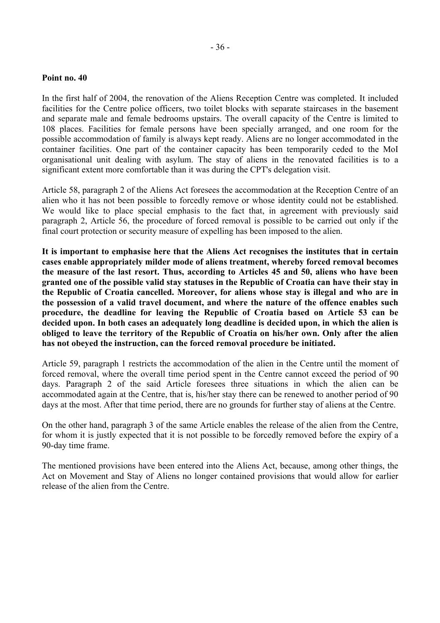In the first half of 2004, the renovation of the Aliens Reception Centre was completed. It included facilities for the Centre police officers, two toilet blocks with separate staircases in the basement and separate male and female bedrooms upstairs. The overall capacity of the Centre is limited to 108 places. Facilities for female persons have been specially arranged, and one room for the possible accommodation of family is always kept ready. Aliens are no longer accommodated in the container facilities. One part of the container capacity has been temporarily ceded to the MoI organisational unit dealing with asylum. The stay of aliens in the renovated facilities is to a significant extent more comfortable than it was during the CPT's delegation visit.

Article 58, paragraph 2 of the Aliens Act foresees the accommodation at the Reception Centre of an alien who it has not been possible to forcedly remove or whose identity could not be established. We would like to place special emphasis to the fact that, in agreement with previously said paragraph 2, Article 56, the procedure of forced removal is possible to be carried out only if the final court protection or security measure of expelling has been imposed to the alien.

**It is important to emphasise here that the Aliens Act recognises the institutes that in certain cases enable appropriately milder mode of aliens treatment, whereby forced removal becomes the measure of the last resort. Thus, according to Articles 45 and 50, aliens who have been granted one of the possible valid stay statuses in the Republic of Croatia can have their stay in the Republic of Croatia cancelled. Moreover, for aliens whose stay is illegal and who are in the possession of a valid travel document, and where the nature of the offence enables such procedure, the deadline for leaving the Republic of Croatia based on Article 53 can be decided upon. In both cases an adequately long deadline is decided upon, in which the alien is obliged to leave the territory of the Republic of Croatia on his/her own. Only after the alien has not obeyed the instruction, can the forced removal procedure be initiated.** 

Article 59, paragraph 1 restricts the accommodation of the alien in the Centre until the moment of forced removal, where the overall time period spent in the Centre cannot exceed the period of 90 days. Paragraph 2 of the said Article foresees three situations in which the alien can be accommodated again at the Centre, that is, his/her stay there can be renewed to another period of 90 days at the most. After that time period, there are no grounds for further stay of aliens at the Centre.

On the other hand, paragraph 3 of the same Article enables the release of the alien from the Centre, for whom it is justly expected that it is not possible to be forcedly removed before the expiry of a 90-day time frame.

The mentioned provisions have been entered into the Aliens Act, because, among other things, the Act on Movement and Stay of Aliens no longer contained provisions that would allow for earlier release of the alien from the Centre.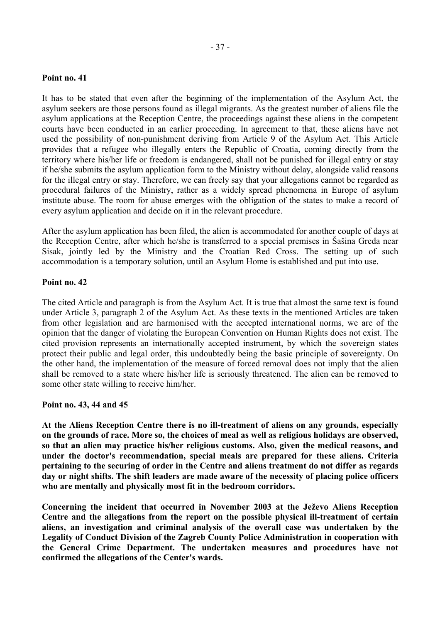It has to be stated that even after the beginning of the implementation of the Asylum Act, the asylum seekers are those persons found as illegal migrants. As the greatest number of aliens file the asylum applications at the Reception Centre, the proceedings against these aliens in the competent courts have been conducted in an earlier proceeding. In agreement to that, these aliens have not used the possibility of non-punishment deriving from Article 9 of the Asylum Act. This Article provides that a refugee who illegally enters the Republic of Croatia, coming directly from the territory where his/her life or freedom is endangered, shall not be punished for illegal entry or stay if he/she submits the asylum application form to the Ministry without delay, alongside valid reasons for the illegal entry or stay. Therefore, we can freely say that your allegations cannot be regarded as procedural failures of the Ministry, rather as a widely spread phenomena in Europe of asylum institute abuse. The room for abuse emerges with the obligation of the states to make a record of every asylum application and decide on it in the relevant procedure.

After the asylum application has been filed, the alien is accommodated for another couple of days at the Reception Centre, after which he/she is transferred to a special premises in äaöina Greda near Sisak, jointly led by the Ministry and the Croatian Red Cross. The setting up of such accommodation is a temporary solution, until an Asylum Home is established and put into use.

### **Point no. 42**

The cited Article and paragraph is from the Asylum Act. It is true that almost the same text is found under Article 3, paragraph 2 of the Asylum Act. As these texts in the mentioned Articles are taken from other legislation and are harmonised with the accepted international norms, we are of the opinion that the danger of violating the European Convention on Human Rights does not exist. The cited provision represents an internationally accepted instrument, by which the sovereign states protect their public and legal order, this undoubtedly being the basic principle of sovereignty. On the other hand, the implementation of the measure of forced removal does not imply that the alien shall be removed to a state where his/her life is seriously threatened. The alien can be removed to some other state willing to receive him/her.

### **Point no. 43, 44 and 45**

**At the Aliens Reception Centre there is no ill-treatment of aliens on any grounds, especially on the grounds of race. More so, the choices of meal as well as religious holidays are observed, so that an alien may practice his/her religious customs. Also, given the medical reasons, and under the doctor's recommendation, special meals are prepared for these aliens. Criteria pertaining to the securing of order in the Centre and aliens treatment do not differ as regards day or night shifts. The shift leaders are made aware of the necessity of placing police officers who are mentally and physically most fit in the bedroom corridors.** 

Concerning the incident that occurred in November 2003 at the Ježevo Aliens Reception **Centre and the allegations from the report on the possible physical ill-treatment of certain aliens, an investigation and criminal analysis of the overall case was undertaken by the Legality of Conduct Division of the Zagreb County Police Administration in cooperation with the General Crime Department. The undertaken measures and procedures have not confirmed the allegations of the Center's wards.**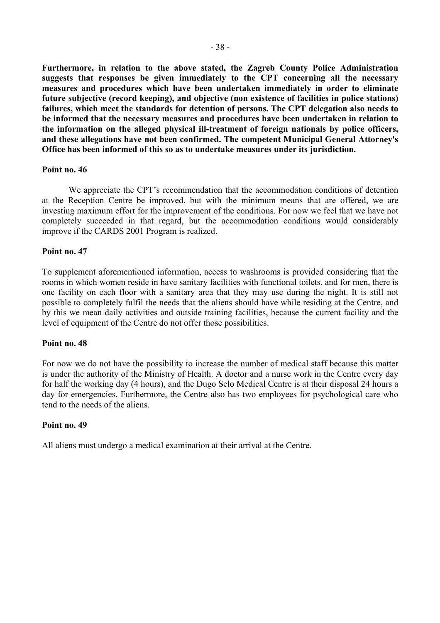**Furthermore, in relation to the above stated, the Zagreb County Police Administration suggests that responses be given immediately to the CPT concerning all the necessary measures and procedures which have been undertaken immediately in order to eliminate future subjective (record keeping), and objective (non existence of facilities in police stations) failures, which meet the standards for detention of persons. The CPT delegation also needs to be informed that the necessary measures and procedures have been undertaken in relation to the information on the alleged physical ill-treatment of foreign nationals by police officers, and these allegations have not been confirmed. The competent Municipal General Attorney's Office has been informed of this so as to undertake measures under its jurisdiction.** 

#### **Point no. 46**

We appreciate the CPT's recommendation that the accommodation conditions of detention at the Reception Centre be improved, but with the minimum means that are offered, we are investing maximum effort for the improvement of the conditions. For now we feel that we have not completely succeeded in that regard, but the accommodation conditions would considerably improve if the CARDS 2001 Program is realized.

#### **Point no. 47**

To supplement aforementioned information, access to washrooms is provided considering that the rooms in which women reside in have sanitary facilities with functional toilets, and for men, there is one facility on each floor with a sanitary area that they may use during the night. It is still not possible to completely fulfil the needs that the aliens should have while residing at the Centre, and by this we mean daily activities and outside training facilities, because the current facility and the level of equipment of the Centre do not offer those possibilities.

#### **Point no. 48**

For now we do not have the possibility to increase the number of medical staff because this matter is under the authority of the Ministry of Health. A doctor and a nurse work in the Centre every day for half the working day (4 hours), and the Dugo Selo Medical Centre is at their disposal 24 hours a day for emergencies. Furthermore, the Centre also has two employees for psychological care who tend to the needs of the aliens.

#### **Point no. 49**

All aliens must undergo a medical examination at their arrival at the Centre.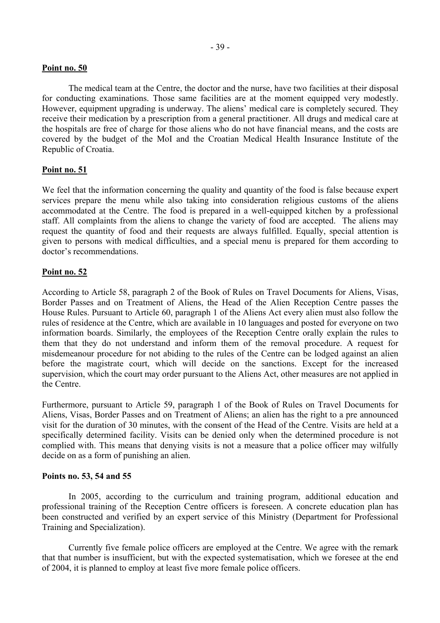The medical team at the Centre, the doctor and the nurse, have two facilities at their disposal for conducting examinations. Those same facilities are at the moment equipped very modestly. However, equipment upgrading is underway. The aliens' medical care is completely secured. They receive their medication by a prescription from a general practitioner. All drugs and medical care at the hospitals are free of charge for those aliens who do not have financial means, and the costs are covered by the budget of the MoI and the Croatian Medical Health Insurance Institute of the Republic of Croatia.

# **Point no. 51**

We feel that the information concerning the quality and quantity of the food is false because expert services prepare the menu while also taking into consideration religious customs of the aliens accommodated at the Centre. The food is prepared in a well-equipped kitchen by a professional staff. All complaints from the aliens to change the variety of food are accepted. The aliens may request the quantity of food and their requests are always fulfilled. Equally, special attention is given to persons with medical difficulties, and a special menu is prepared for them according to doctor's recommendations.

# **Point no. 52**

According to Article 58, paragraph 2 of the Book of Rules on Travel Documents for Aliens, Visas, Border Passes and on Treatment of Aliens, the Head of the Alien Reception Centre passes the House Rules. Pursuant to Article 60, paragraph 1 of the Aliens Act every alien must also follow the rules of residence at the Centre, which are available in 10 languages and posted for everyone on two information boards. Similarly, the employees of the Reception Centre orally explain the rules to them that they do not understand and inform them of the removal procedure. A request for misdemeanour procedure for not abiding to the rules of the Centre can be lodged against an alien before the magistrate court, which will decide on the sanctions. Except for the increased supervision, which the court may order pursuant to the Aliens Act, other measures are not applied in the Centre.

Furthermore, pursuant to Article 59, paragraph 1 of the Book of Rules on Travel Documents for Aliens, Visas, Border Passes and on Treatment of Aliens; an alien has the right to a pre announced visit for the duration of 30 minutes, with the consent of the Head of the Centre. Visits are held at a specifically determined facility. Visits can be denied only when the determined procedure is not complied with. This means that denying visits is not a measure that a police officer may wilfully decide on as a form of punishing an alien.

### **Points no. 53, 54 and 55**

In 2005, according to the curriculum and training program, additional education and professional training of the Reception Centre officers is foreseen. A concrete education plan has been constructed and verified by an expert service of this Ministry (Department for Professional Training and Specialization).

Currently five female police officers are employed at the Centre. We agree with the remark that that number is insufficient, but with the expected systematisation, which we foresee at the end of 2004, it is planned to employ at least five more female police officers.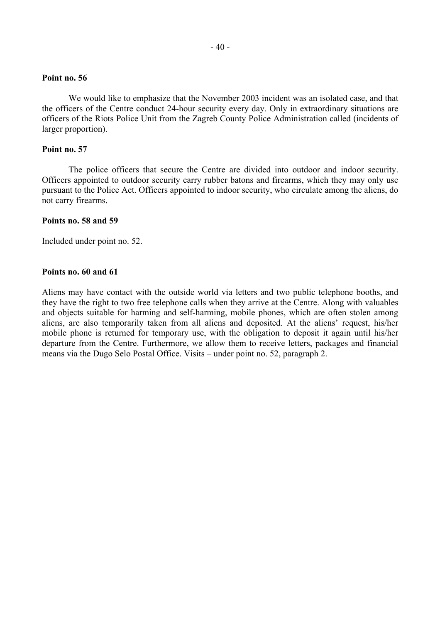We would like to emphasize that the November 2003 incident was an isolated case, and that the officers of the Centre conduct 24-hour security every day. Only in extraordinary situations are officers of the Riots Police Unit from the Zagreb County Police Administration called (incidents of larger proportion).

#### **Point no. 57**

The police officers that secure the Centre are divided into outdoor and indoor security. Officers appointed to outdoor security carry rubber batons and firearms, which they may only use pursuant to the Police Act. Officers appointed to indoor security, who circulate among the aliens, do not carry firearms.

#### **Points no. 58 and 59**

Included under point no. 52.

#### **Points no. 60 and 61**

Aliens may have contact with the outside world via letters and two public telephone booths, and they have the right to two free telephone calls when they arrive at the Centre. Along with valuables and objects suitable for harming and self-harming, mobile phones, which are often stolen among aliens, are also temporarily taken from all aliens and deposited. At the aliens' request, his/her mobile phone is returned for temporary use, with the obligation to deposit it again until his/her departure from the Centre. Furthermore, we allow them to receive letters, packages and financial means via the Dugo Selo Postal Office. Visits – under point no. 52, paragraph 2.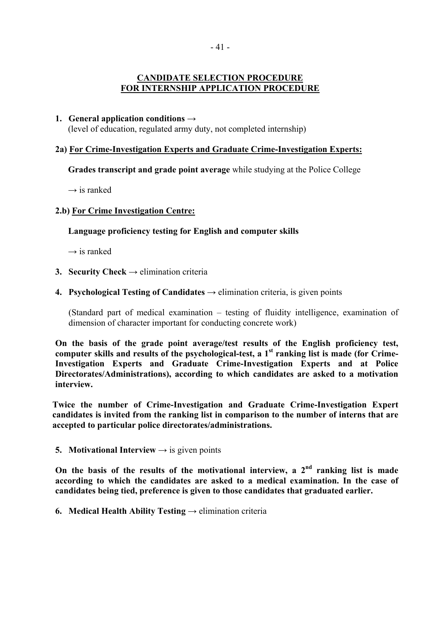# **CANDIDATE SELECTION PROCEDURE FOR INTERNSHIP APPLICATION PROCEDURE**

# **1. General application conditions →**

(level of education, regulated army duty, not completed internship)

# **2a) For Crime-Investigation Experts and Graduate Crime-Investigation Experts:**

**Grades transcript and grade point average** while studying at the Police College

→ is ranked

# **2.b) For Crime Investigation Centre:**

# **Language proficiency testing for English and computer skills**

→ is ranked

- **3. Security Check**  $\rightarrow$  elimination criteria
- **4. Psychological Testing of Candidates**  $\rightarrow$  elimination criteria, is given points

(Standard part of medical examination  $-$  testing of fluidity intelligence, examination of dimension of character important for conducting concrete work)

**On the basis of the grade point average/test results of the English proficiency test, computer skills and results of the psychological-test, a 1st ranking list is made (for Crime-Investigation Experts and Graduate Crime-Investigation Experts and at Police Directorates/Administrations), according to which candidates are asked to a motivation interview.** 

**Twice the number of Crime-Investigation and Graduate Crime-Investigation Expert candidates is invited from the ranking list in comparison to the number of interns that are accepted to particular police directorates/administrations.** 

**5. Motivational Interview**  $\rightarrow$  is given points

On the basis of the results of the motivational interview, a 2<sup>nd</sup> ranking list is made **according to which the candidates are asked to a medical examination. In the case of candidates being tied, preference is given to those candidates that graduated earlier.** 

**6. Medical Health Ability Testing**  $\rightarrow$  elimination criteria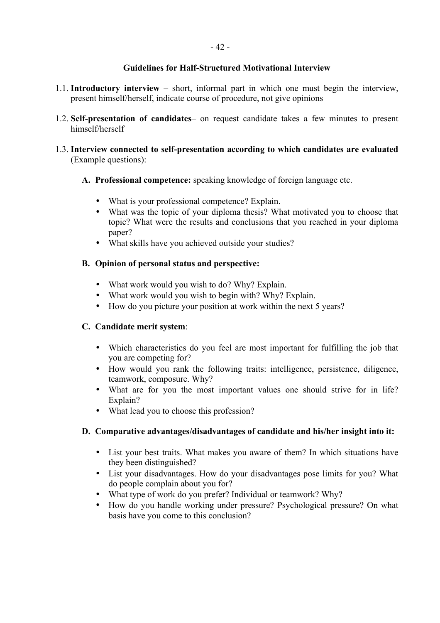# **Guidelines for Half-Structured Motivational Interview**

- 1.1. **Introductory interview**  $-$  short, informal part in which one must begin the interview, present himself/herself, indicate course of procedure, not give opinions
- 1.2. **Self-presentation of candidates** on request candidate takes a few minutes to present himself/herself
- 1.3. **Interview connected to self-presentation according to which candidates are evaluated**  (Example questions):
	- **A. Professional competence:** speaking knowledge of foreign language etc.
		- What is your professional competence? Explain.
		- What was the topic of your diploma thesis? What motivated you to choose that topic? What were the results and conclusions that you reached in your diploma paper?
		- What skills have you achieved outside your studies?

# **B. Opinion of personal status and perspective:**

- What work would you wish to do? Why? Explain.
- What work would you wish to begin with? Why? Explain.
- How do you picture your position at work within the next 5 years?

# **C. Candidate merit system**:

- Which characteristics do you feel are most important for fulfilling the job that you are competing for?
- How would you rank the following traits: intelligence, persistence, diligence, teamwork, composure. Why?
- What are for you the most important values one should strive for in life? Explain?
- What lead you to choose this profession?

# **D. Comparative advantages/disadvantages of candidate and his/her insight into it:**

- List your best traits. What makes you aware of them? In which situations have they been distinguished?
- List your disadvantages. How do your disadvantages pose limits for you? What do people complain about you for?
- What type of work do you prefer? Individual or teamwork? Why?
- How do you handle working under pressure? Psychological pressure? On what basis have you come to this conclusion?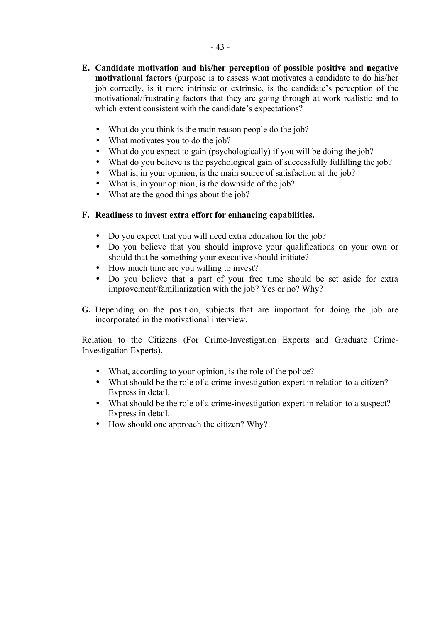- **E. Candidate motivation and his/her perception of possible positive and negative motivational factors** (purpose is to assess what motivates a candidate to do his/her job correctly, is it more intrinsic or extrinsic, is the candidate's perception of the motivational/frustrating factors that they are going through at work realistic and to which extent consistent with the candidate's expectations?
	- What do you think is the main reason people do the job?
	- What motivates you to do the job?
	- What do you expect to gain (psychologically) if you will be doing the job?
	- What do you believe is the psychological gain of successfully fulfilling the job?
	- What is, in your opinion, is the main source of satisfaction at the job?
	- What is, in your opinion, is the downside of the job?
	- What ate the good things about the job?

# **F. Readiness to invest extra effort for enhancing capabilities.**

- Do you expect that you will need extra education for the job?
- Do you believe that you should improve your qualifications on your own or should that be something your executive should initiate?
- How much time are you willing to invest?
- Do you believe that a part of your free time should be set aside for extra improvement/familiarization with the job? Yes or no? Why?
- **G.** Depending on the position, subjects that are important for doing the job are incorporated in the motivational interview.

Relation to the Citizens (For Crime-Investigation Experts and Graduate Crime-Investigation Experts).

- What, according to your opinion, is the role of the police?
- What should be the role of a crime-investigation expert in relation to a citizen? Express in detail.
- What should be the role of a crime-investigation expert in relation to a suspect? Express in detail.
- How should one approach the citizen? Why?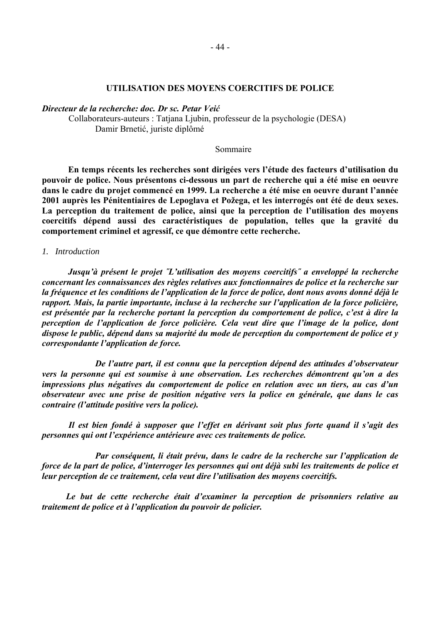#### UTILISATION DES MOYENS COERCITIFS DE POLICE

Directeur de la recherche: doc. Dr sc. Petar Veić

Collaborateurs-auteurs : Tatjana Ljubin, professeur de la psychologie (DESA) Damir Brnetić, juriste diplômé

#### Sommaire

En temps récents les recherches sont dirigées vers l'étude des facteurs d'utilisation du pouvoir de police. Nous présentons ci-dessous un part de recherche qui a été mise en oeuvre dans le cadre du projet commencé en 1999. La recherche a été mise en oeuvre durant l'année 2001 auprès les Pénitentiaires de Lepoglava et Požega, et les interrogés ont été de deux sexes. La perception du traitement de police, ainsi que la perception de l'utilisation des moyens coercitifs dépend aussi des caractéristiques de population, telles que la gravité du comportement criminel et agressif, ce que démontre cette recherche.

#### 1. Introduction

Jusau'à présent le proiet "L'utilisation des movens coercitifs" a enveloppé la recherche concernant les connaissances des règles relatives aux fonctionnaires de police et la recherche sur la fréquence et les conditions de l'application de la force de police, dont nous avons donné déjà le rapport. Mais, la partie importante, incluse à la recherche sur l'application de la force policière, est présentée par la recherche portant la perception du comportement de police, c'est à dire la perception de l'application de force policière. Cela veut dire que l'image de la police, dont dispose le public, dépend dans sa majorité du mode de perception du comportement de police et y correspondante l'application de force.

De l'autre part, il est connu que la perception dépend des attitudes d'observateur vers la personne qui est soumise à une observation. Les recherches démontrent qu'on a des impressions plus négatives du comportement de police en relation avec un tiers, au cas d'un observateur avec une prise de position négative vers la police en générale, que dans le cas contraire (l'attitude positive vers la police).

Il est bien fondé à supposer que l'effet en dérivant soit plus forte quand il s'agit des personnes qui ont l'expérience antérieure avec ces traitements de police.

Par conséquent, li était prévu, dans le cadre de la recherche sur l'application de force de la part de police, d'interroger les personnes qui ont déjà subi les traitements de police et leur perception de ce traitement, cela veut dire l'utilisation des moyens coercitifs.

Le but de cette recherche était d'examiner la perception de prisonniers relative au traitement de police et à l'application du pouvoir de policier.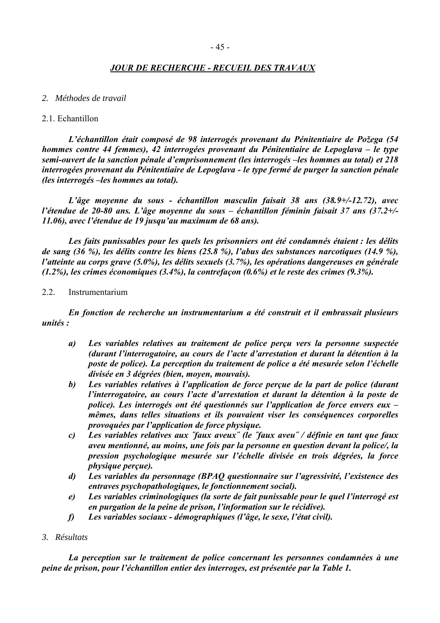# *JOUR DE RECHERCHE - RECUEIL DES TRAVAUX*

#### *2. Méthodes de travail*

#### 2.1. Echantillon

*LíÈchantillon Ètait composÈ de 98 interrogÈs provenant du PÈnitentiaire de Poûega (54 hommes contre 44 femmes), 42 interrogées provenant du Pénitentiaire de Lepoglava – le type* semi-ouvert de la sanction pénale d'emprisonnement (les interrogés – les hommes au total) et 218 *interrogÈes provenant du PÈnitentiaire de Lepoglava - le type fermÈ de purger la sanction pÈnale (les interrogés -les hommes au total).* 

*Lí'ge moyenne du sous - Èchantillon masculin faisait 38 ans (38.9+/-12.72), avec l'étendue de 20-80 ans. L'âge moyenne du sous – échantillon féminin faisait 37 ans (37.2+/-11.06), avec l'étendue de 19 jusqu'au maximum de 68 ans).* 

Les faits punissables pour les quels les prisonniers ont été condamnés étaient : les délits *de sang (36 %), les dÈlits contre les biens (25.8 %), líabus des substances narcotiques (14.9 %), l'atteinte au corps grave (5.0%), les délits sexuels (3.7%), les opérations dangereuses en générale*  $(1.2\%)$ , les crimes économiques  $(3.4\%)$ , la contrefaçon  $(0.6\%)$  et le reste des crimes  $(9.3\%)$ .

#### 2.2. Instrumentarium

*En fonction de recherche un instrumentarium a ÈtÈ construit et il embrassait plusieurs unitÈs :* 

- *a*) Les variables relatives au traitement de police perçu vers la personne suspectée *(durant l'interrogatoire, au cours de l'acte d'arrestation et durant la détention à la* poste de police). La perception du traitement de police a été mesurée selon l'échelle *divisÈe en 3 dÈgrÈes (bien, moyen, mouvais).*
- *b Les variables relatives à l'application de force perçue de la part de police (durant l'interrogatoire, au cours l'acte d'arrestation et durant la détention à la poste de police). Les interrogés ont été questionnés sur l'application de force envers eux – mÍmes, dans telles situations et ils pouvaient viser les consÈquences corporelles provoquÈes par líapplication de force physique.*
- *c) Les variables relatives aux ˝faux aveux˝ (le ˝faux aveu˝ / dÈfinie en tant que faux aveu mentionnÈ, au moins, une fois par la personne en question devant la police/, la pression psychologique mesurée sur l'échelle divisée en trois dégrées, la force physique percue).*
- d) Les variables du personnage (BPAO questionnaire sur l'agressivité, l'existence des *entraves psychopathologiques, le fonctionnement social).*
- e) Les variables criminologiques (la sorte de fait punissable pour le quel l'interrogé est en purgation de la peine de prison, l'information sur le récidive).
- *f*) Les variables sociaux démographiques (l'âge, le sexe, l'état civil).
- *3. Résultats*

La perception sur le traitement de police concernant les personnes condamnées à une *peine de prison, pour l'échantillon entier des interroges, est présentée par la Table 1.*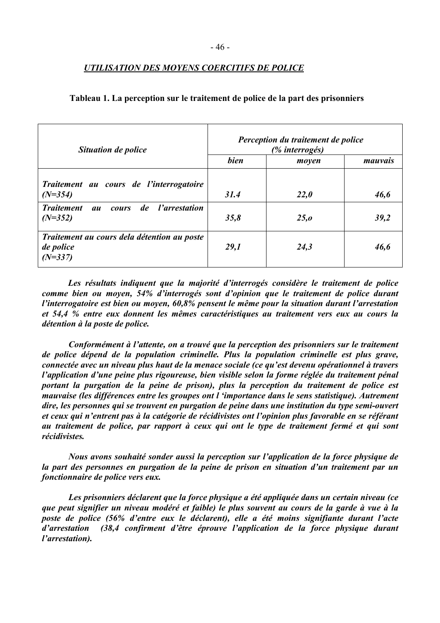# *UTILISATION DES MOYENS COERCITIFS DE POLICE*

| <b>Situation de police</b>                                                                                                    | Perception du traitement de police<br>(% interrogés) |       |         |  |
|-------------------------------------------------------------------------------------------------------------------------------|------------------------------------------------------|-------|---------|--|
|                                                                                                                               | bien                                                 | moyen | mauvais |  |
| Traitement au cours de l'interrogatoire<br>$(N=354)$<br><b>Traitement</b><br>de<br><i>l'arrestation</i><br><b>cours</b><br>au | 31.4                                                 | 22,0  | 46,6    |  |
| $(N=352)$                                                                                                                     | 35,8                                                 | 25, o | 39,2    |  |
| Traitement au cours dela détention au poste<br>de police<br>$(N=337)$                                                         | 29,1                                                 | 24,3  | 46,6    |  |

#### **Tableau 1. La perception sur le traitement de police de la part des prisonniers**

Les résultats indiquent que la majorité d'interrogés considère le traitement de police *comme bien ou moyen, 54% d'interrogés sont d'opinion que le traitement de police durant l'interrogatoire est bien ou moyen, 60,8% pensent le même pour la situation durant l'arrestation et 54,4 % entre eux donnent les mÍmes caractÈristiques au traitement vers eux au cours la détention à la poste de police.* 

*ConformÈment ‡ líattente, on a trouvÈ que la perception des prisonniers sur le traitement de police dÈpend de la population criminelle. Plus la population criminelle est plus grave, connectée avec un niveau plus haut de la menace sociale (ce qu'est devenu opérationnel à travers l'application d'une peine plus rigoureuse, bien visible selon la forme réglée du traitement pénal portant la purgation de la peine de prison), plus la perception du traitement de police est mauvaise (les diffÈrences entre les groupes ont l ëimportance dans le sens statistique). Autrement dire, les personnes qui se trouvent en purgation de peine dans une institution du type semi-ouvert*  et ceux qui n'entrent pas à la catégorie de récidivistes ont l'opinion plus favorable en se référant au traitement de police, par rapport à ceux qui ont le type de traitement fermé et qui sont *rÈcidivistes.* 

*Nous avons souhaitÈ sonder aussi la perception sur líapplication de la force physique de*  la part des personnes en purgation de la peine de prison en situation d'un traitement par un *fonctionnaire de police vers eux.* 

Les prisonniers déclarent que la force physique a été appliquée dans un certain niveau (ce *que peut signifier un niveau modÈrÈ et faible) le plus souvent au cours de la garde ‡ vue ‡ la poste de police (56% díentre eux le dÈclarent), elle a ÈtÈ moins signifiante durant líacte d'arrestation (38,4 confirment d'être éprouve l'application de la force physique durant l'arrestation*).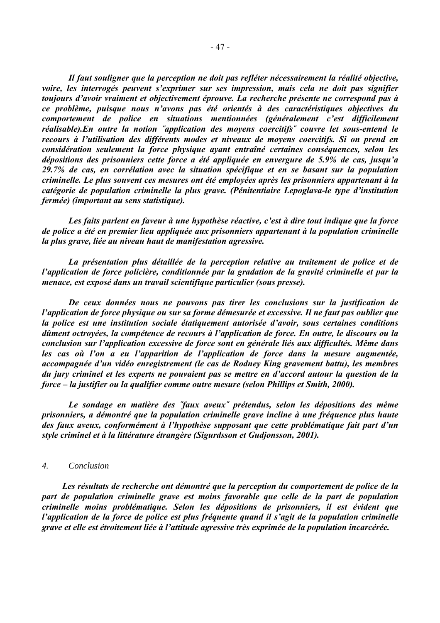Il faut souligner que la perception ne doit pas refléter nécessairement la réalité objective, voire, les interrogés peuvent s'exprimer sur ses impression, mais cela ne doit pas signifier toujours d'avoir vraiment et objectivement éprouve. La recherche présente ne correspond pas à ce problème, puisque nous n'avons pas été orientés à des caractéristiques objectives du comportement de police en situations mentionnées (généralement c'est difficilement réalisable). En outre la notion "application des moyens coercitifs" couvre let sous-entend le recours à l'utilisation des différents modes et niveaux de moyens coercitifs. Si on prend en considération seulement la force physique ayant entraîné certaines conséquences, selon les dépositions des prisonniers cette force a été appliquée en envergure de 5.9% de cas, jusqu'a 29.7% de cas, en corrélation avec la situation spécifique et en se basant sur la population criminelle. Le plus souvent ces mesures ont été employées après les prisonniers appartenant à la catégorie de population criminelle la plus grave. (Pénitentiaire Lepoglava-le type d'institution fermée) (important au sens statistique).

Les faits parlent en faveur à une hypothèse réactive, c'est à dire tout indique que la force de police a été en premier lieu appliquée aux prisonniers appartenant à la population criminelle la plus grave, liée au niveau haut de manifestation agressive.

La présentation plus détaillée de la perception relative au traitement de police et de l'application de force policière, conditionnée par la gradation de la gravité criminelle et par la menace, est exposé dans un travail scientifique particulier (sous presse).

De ceux données nous ne pouvons pas tirer les conclusions sur la justification de l'application de force physique ou sur sa forme démesurée et excessive. Il ne faut pas oublier que la police est une institution sociale étatiquement autorisée d'avoir, sous certaines conditions dûment octroyées, la compétence de recours à l'application de force. En outre, le discours ou la conclusion sur l'application excessive de force sont en générale liés aux difficultés. Même dans les cas où l'on a eu l'apparition de l'application de force dans la mesure augmentée, accompagnée d'un vidéo enregistrement (le cas de Rodney King gravement battu), les membres du jury criminel et les experts ne pouvaient pas se mettre en d'accord autour la question de la force – la justifier ou la qualifier comme outre mesure (selon Phillips et Smith, 2000).

Le sondage en matière des "faux aveux" prétendus, selon les dépositions des même prisonniers, a démontré que la population criminelle grave incline à une fréquence plus haute des faux aveux, conformément à l'hypothèse supposant que cette problématique fait part d'un style criminel et à la littérature étrangère (Sigurdsson et Gudionsson, 2001).

#### $\overline{4}$ . Conclusion

Les résultats de recherche ont démontré que la perception du comportement de police de la part de population criminelle grave est moins favorable que celle de la part de population criminelle moins problématique. Selon les dépositions de prisonniers, il est évident que l'application de la force de police est plus fréquente quand il s'agit de la population criminelle grave et elle est étroitement liée à l'attitude agressive très exprimée de la population incarcérée.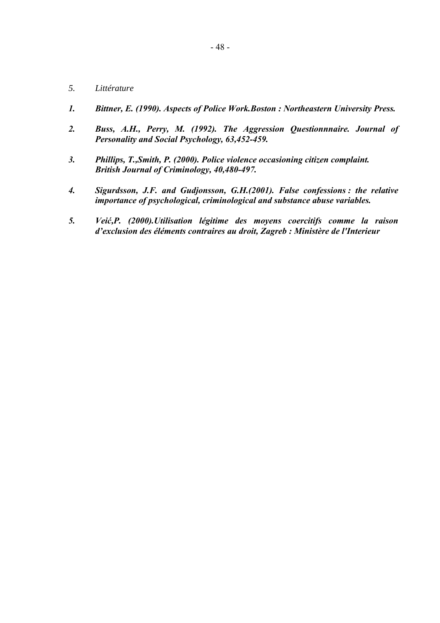- *5. Littérature*
- *1. Bittner, E. (1990). Aspects of Police Work.Boston : Northeastern University Press.*
- *2. Buss, A.H., Perry, M. (1992). The Aggression Questionnnaire. Journal of Personality and Social Psychology, 63,452-459.*
- *3. Phillips, T.,Smith, P. (2000). Police violence occasioning citizen complaint. British Journal of Criminology, 40,480-497.*
- *4. Sigurdsson, J.F. and Gudjonsson, G.H.(2001). False confessions : the relative importance of psychological, criminological and substance abuse variables.*
- *5. Veić,P. (2000).Utilisation lÈgitime des moyens coercitifs comme la raison d'exclusion des éléments contraires au droit, Zagreb : Ministère de l'Interieur*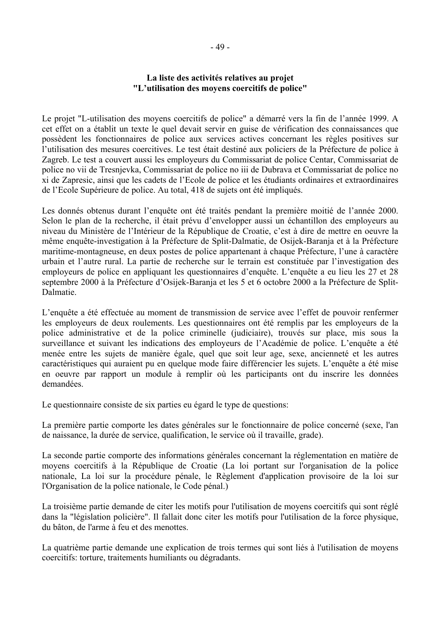### La liste des activités relatives au projet "L'utilisation des movens coercitifs de police"

Le projet "L-utilisation des moyens coercitifs de police" a démarré vers la fin de l'année 1999. A cet effet on a établit un texte le quel devait servir en guise de vérification des connaissances que possèdent les fonctionnaires de police aux services actives concernant les règles positives sur l'utilisation des mesures coercitives. Le test était destiné aux policiers de la Préfecture de police à Zagreb. Le test a couvert aussi les employeurs du Commissariat de police Centar. Commissariat de police no vii de Tresnievka, Commissariat de police no iii de Dubrava et Commissariat de police no xi de Zapresic, ainsi que les cadets de l'Ecole de police et les étudiants ordinaires et extraordinaires de l'Ecole Supérieure de police. Au total, 418 de sujets ont été impliqués.

Les donnés obtenus durant l'enquête ont été traités pendant la première moitié de l'année 2000. Selon le plan de la recherche, il était prévu d'envelopper aussi un échantillon des employeurs au niveau du Ministère de l'Intérieur de la République de Croatie, c'est à dire de mettre en oeuvre la même enquête-investigation à la Préfecture de Split-Dalmatie, de Osijek-Baranja et à la Préfecture maritime-montagneuse, en deux postes de police appartenant à chaque Préfecture, l'une à caractère urbain et l'autre rural. La partie de recherche sur le terrain est constituée par l'investigation des employeurs de police en appliquant les questionnaires d'enquête. L'enquête a eu lieu les 27 et 28 septembre 2000 à la Préfecture d'Osijek-Baranja et les 5 et 6 octobre 2000 a la Préfecture de Split-Dalmatie

L'enquête a été effectuée au moment de transmission de service avec l'effet de pouvoir renfermer les employeurs de deux roulements. Les questionnaires ont été remplis par les employeurs de la police administrative et de la police criminelle (judiciaire), trouvés sur place, mis sous la surveillance et suivant les indications des employeurs de l'Académie de police. L'enquête a été menée entre les sujets de manière égale, quel que soit leur age, sexe, ancienneté et les autres caractéristiques qui auraient pu en quelque mode faire différencier les sujets. L'enquête a été mise en oeuvre par rapport un module à remplir où les participants ont du inscrire les données demandées.

Le questionnaire consiste de six parties eu égard le type de questions:

La première partie comporte les dates générales sur le fonctionnaire de police concerné (sexe, l'an de naissance, la durée de service, qualification, le service où il travaille, grade).

La seconde partie comporte des informations générales concernant la réglementation en matière de moyens coercitifs à la République de Croatie (La loi portant sur l'organisation de la police nationale, La loi sur la procédure pénale, le Règlement d'application provisoire de la loi sur l'Organisation de la police nationale, le Code pénal.)

La troisième partie demande de citer les motifs pour l'utilisation de moyens coercitifs qui sont réglé dans la "législation policière". Il fallait donc citer les motifs pour l'utilisation de la force physique, du bâton, de l'arme à feu et des menottes.

La quatrième partie demande une explication de trois termes qui sont liés à l'utilisation de moyens coercitifs: torture, traitements humiliants ou dégradants.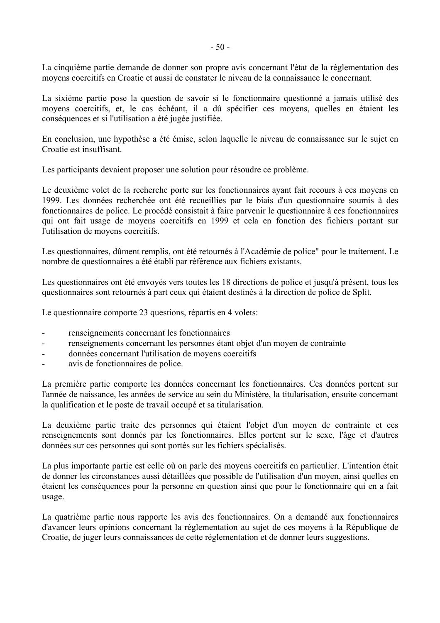La cinquième partie demande de donner son propre avis concernant l'état de la réglementation des moyens coercitifs en Croatie et aussi de constater le niveau de la connaissance le concernant.

La sixième partie pose la question de savoir si le fonctionnaire questionné a jamais utilisé des moyens coercitifs, et, le cas échéant, il a dû spécifier ces moyens, quelles en étaient les conséquences et si l'utilisation a été jugée justifiée.

En conclusion, une hypothèse a été émise, selon laquelle le niveau de connaissance sur le sujet en Croatie est insuffisant

Les participants devaient proposer une solution pour résoudre ce problème.

Le deuxième volet de la recherche porte sur les fonctionnaires ayant fait recours à ces moyens en 1999. Les données recherchée ont été recueillies par le biais d'un questionnaire soumis à des fonctionnaires de police. Le procédé consistait à faire parvenir le questionnaire à ces fonctionnaires qui ont fait usage de moyens coercitifs en 1999 et cela en fonction des fichiers portant sur l'utilisation de moyens coercitifs.

Les questionnaires, dûment remplis, ont été retournés à l'Académie de police" pour le traitement. Le nombre de questionnaires a été établi par référence aux fichiers existants.

Les questionnaires ont été envoyés vers toutes les 18 directions de police et jusqu'à présent, tous les questionnaires sont retournés à part ceux qui étaient destinés à la direction de police de Split.

Le questionnaire comporte 23 questions, répartis en 4 volets:

- renseignements concernant les fonctionnaires  $\sim$
- renseignements concernant les personnes étant objet d'un moyen de contrainte  $\overline{a}$
- données concernant l'utilisation de moyens coercitifs
- avis de fonctionnaires de police.

La première partie comporte les données concernant les fonctionnaires. Ces données portent sur l'année de naissance, les années de service au sein du Ministère, la titularisation, ensuite concernant la qualification et le poste de travail occupé et sa titularisation.

La deuxième partie traite des personnes qui étaient l'objet d'un moyen de contrainte et ces renseignements sont donnés par les fonctionnaires. Elles portent sur le sexe, l'âge et d'autres données sur ces personnes qui sont portés sur les fichiers spécialisés.

La plus importante partie est celle où on parle des moyens coercitifs en particulier. L'intention était de donner les circonstances aussi détaillées que possible de l'utilisation d'un moyen, ainsi quelles en étaient les conséquences pour la personne en question ainsi que pour le fonctionnaire qui en a fait usage.

La quatrième partie nous rapporte les avis des fonctionnaires. On a demandé aux fonctionnaires d'avancer leurs opinions concernant la réglementation au sujet de ces moyens à la République de Croatie, de juger leurs connaissances de cette réglementation et de donner leurs suggestions.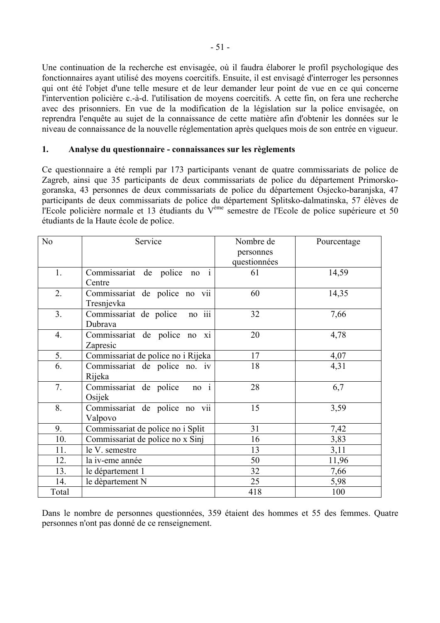Une continuation de la recherche est envisagée, où il faudra élaborer le profil psychologique des fonctionnaires ayant utilisé des moyens coercitifs. Ensuite, il est envisagé d'interroger les personnes qui ont été l'objet d'une telle mesure et de leur demander leur point de vue en ce qui concerne l'intervention policière c.-à-d. l'utilisation de moyens coercitifs. A cette fin, on fera une recherche avec des prisonniers. En vue de la modification de la législation sur la police envisagée, on reprendra l'enquête au sujet de la connaissance de cette matière afin d'obtenir les données sur le niveau de connaissance de la nouvelle réglementation après quelques mois de son entrée en vigueur.

#### $1.$ Analyse du questionnaire - connaissances sur les règlements

Ce questionnaire a été rempli par 173 participants venant de quatre commissariats de police de Zagreb, ainsi que 35 participants de deux commissariats de police du département Primorskogoranska, 43 personnes de deux commissariats de police du département Osjecko-baranjska, 47 participants de deux commissariats de police du département Splitsko-dalmatinska, 57 élèves de l'Ecole policière normale et 13 étudiants du V<sup>ème</sup> semestre de l'Ecole de police supérieure et 50 étudiants de la Haute école de police.

| N <sub>0</sub> | Service                              | Nombre de    | Pourcentage |
|----------------|--------------------------------------|--------------|-------------|
|                |                                      | personnes    |             |
|                |                                      | questionnées |             |
| 1.             | Commissariat de police no i          | 61           | 14,59       |
|                | Centre                               |              |             |
| 2.             | Commissariat de police no vii        | 60           | 14,35       |
|                | Tresnjevka                           |              |             |
| 3.             | Commissariat de police<br>$no$ $iii$ | 32           | 7,66        |
|                | Dubrava                              |              |             |
| 4.             | Commissariat de police no xi         | 20           | 4,78        |
|                | Zapresic                             |              |             |
| 5.             | Commissariat de police no i Rijeka   | 17           | 4,07        |
| 6.             | Commissariat de police no. iv        | 18           | 4,31        |
|                | Rijeka                               |              |             |
| 7.             | no i<br>Commissariat de police       | 28           | 6,7         |
|                | Osijek                               |              |             |
| 8.             | Commissariat de police no vii        | 15           | 3,59        |
|                | Valpovo                              |              |             |
| 9.             | Commissariat de police no i Split    | 31           | 7,42        |
| 10.            | Commissariat de police no x Sinj     | 16           | 3,83        |
| 11.            | le V. semestre                       | 13           | 3,11        |
| 12.            | la iv-eme année                      | 50           | 11,96       |
| 13.            | le département 1                     | 32           | 7,66        |
| 14.            | le dèpartement N                     | 25           | 5,98        |
| Total          |                                      | 418          | 100         |

Dans le nombre de personnes questionnées, 359 étaient des hommes et 55 des femmes. Quatre personnes n'ont pas donné de ce renseignement.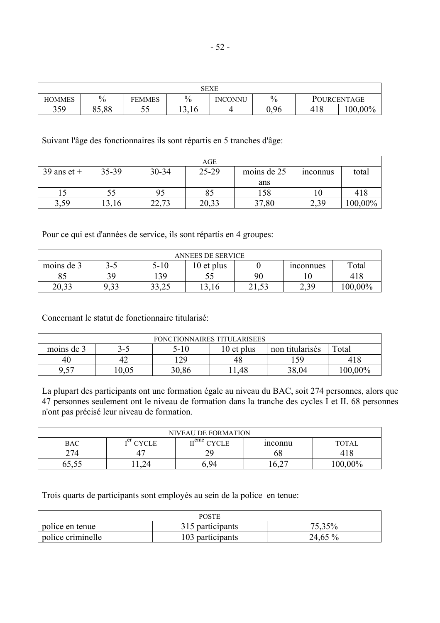| SEXE          |               |               |               |         |      |     |             |
|---------------|---------------|---------------|---------------|---------|------|-----|-------------|
| <b>HOMMES</b> | $\frac{0}{0}$ | <b>FEMMES</b> | $\frac{0}{6}$ | INCONNU | $\%$ |     | POURCENTAGE |
| 359           | 85,88         | ັບ            | 13.16         |         | 0,96 | 418 | $100,00\%$  |

Suivant l'âge des fonctionnaires ils sont répartis en 5 tranches d'âge:

|               |       |                | AGE   |             |                 |         |
|---------------|-------|----------------|-------|-------------|-----------------|---------|
| $39$ ans et + | 35-39 | 30-34          | 25-29 | moins de 25 | <i>n</i> connus | total   |
|               |       |                |       | ans         |                 |         |
|               | 55    | 95             |       | 158         |                 | 418     |
| 3,59          | 13,16 | רד רר<br>22.IS | 20,33 | 37,80       | 2,39            | 100,00% |

Pour ce qui est d'années de service, ils sont répartis en 4 groupes:

| ANNEES DE SERVICE |      |                   |              |         |                 |         |
|-------------------|------|-------------------|--------------|---------|-----------------|---------|
| moins de 3        | נ-כ  | 2-10              | $10$ et plus |         | mconnues        | Total   |
| o.                | 39   | 139               | ر. ر         | 90      |                 | 418     |
| າດ າາ<br>20.JJ    | 9,33 | າາ າເ<br>ب کے زار | 13,10        | ر س د ک | 2 2 Q<br>ر رہے۔ | 100,00% |

Concernant le statut de fonctionnaire titularisé:

| <b>FONCTIONNAIRES TITULARISEES</b> |      |       |            |                 |            |
|------------------------------------|------|-------|------------|-----------------|------------|
| moins de 3                         | 3-5  | 5-10  | 10 et plus | non titularisés | Total      |
| 40                                 | 42   | 129   | 48         | 59              | 418        |
| 9,57                               | 0.05 | 30,86 | 11,48      | 38,04           | $100,00\%$ |

La plupart des participants ont une formation égale au niveau du BAC, soit 274 personnes, alors que 47 personnes seulement ont le niveau de formation dans la tranche des cycles I et II. 68 personnes n'ont pas précisé leur niveau de formation.

| <b>NIVEAU DE FORMATION</b> |                       |                          |         |              |  |
|----------------------------|-----------------------|--------------------------|---------|--------------|--|
| BAC                        | $\tau$ er<br>$CVCI$ E | $r$ <sup>eme</sup> CYCLE | inconnu | <b>TOTAL</b> |  |
| 274                        | 4                     |                          | ხბ      |              |  |
| 00.OO                      |                       | Y∠                       | 0.2     | $0.00\%$     |  |

Trois quarts de participants sont employés au sein de la police en tenue:

| POSTE             |                  |         |  |  |  |
|-------------------|------------------|---------|--|--|--|
| police en tenue   | 315 participants | 75,35%  |  |  |  |
| police criminelle | 103 participants | 24,65 % |  |  |  |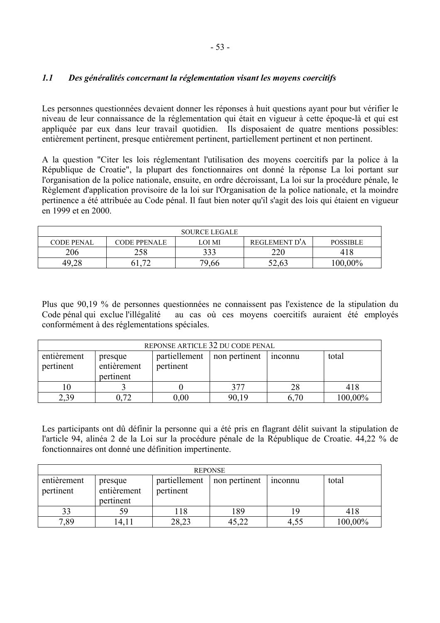#### $1.1$ Des généralités concernant la réglementation visant les moyens coercitifs

Les personnes questionnées devaient donner les réponses à huit questions ayant pour but vérifier le niveau de leur connaissance de la réglementation qui était en vigueur à cette époque-là et qui est appliquée par eux dans leur travail quotidien. Ils disposaient de quatre mentions possibles: entièrement pertinent, presque entièrement pertinent, partiellement pertinent et non pertinent.

A la question "Citer les lois réglementant l'utilisation des moyens coercitifs par la police à la République de Croatie", la plupart des fonctionnaires ont donné la réponse La loi portant sur l'organisation de la police nationale, ensuite, en ordre décroissant, La loi sur la procédure pénale, le Règlement d'application provisoire de la loi sur l'Organisation de la police nationale, et la moindre pertinence a été attribuée au Code pénal. Il faut bien noter qu'il s'agit des lois qui étaient en vigueur en 1999 et en 2000

| <b>SOURCE LEGALE</b> |                          |        |               |                 |  |  |
|----------------------|--------------------------|--------|---------------|-----------------|--|--|
| <b>CODE PENAL</b>    | <b>CODE PPENALE</b>      | LOI MI | REGLEMENT D'A | <b>POSSIBLE</b> |  |  |
| 206                  | 258                      | 333    | 220           | 418             |  |  |
| 49.28                | $\overline{\phantom{a}}$ | 79,66  | 52,63         | $0.00\%$        |  |  |

Plus que 90,19 % de personnes questionnées ne connaissent pas l'existence de la stipulation du Code pénal qui exclue l'illégalité au cas où ces moyens coercitifs auraient été employés conformément à des réglementations spéciales.

| REPONSE ARTICLE 32 DU CODE PENAL |                                     |                            |               |         |         |  |
|----------------------------------|-------------------------------------|----------------------------|---------------|---------|---------|--|
| entièrement<br>pertinent         | presque<br>entièrement<br>pertinent | partiellement<br>pertinent | non pertinent | inconnu | total   |  |
|                                  |                                     |                            | 377           | 28      | 418     |  |
| 2.39                             |                                     | 0.00                       | 90,19         | 6.70    | 100,00% |  |

Les participants ont dû définir la personne qui a été pris en flagrant délit suivant la stipulation de l'article 94, alinéa 2 de la Loi sur la procédure pénale de la République de Croatie. 44,22 % de fonctionnaires ont donné une définition impertinente.

| <b>REPONSE</b>           |                                     |                            |               |                |         |  |
|--------------------------|-------------------------------------|----------------------------|---------------|----------------|---------|--|
| entièrement<br>pertinent | presque<br>entièrement<br>pertinent | partiellement<br>pertinent | non pertinent | <i>n</i> connu | total   |  |
| 33                       | 59                                  | 118                        | 189           | ۱9             | 418     |  |
| 7,89                     | 14,11                               | 28,23                      | 45,22         | 4,55           | 100,00% |  |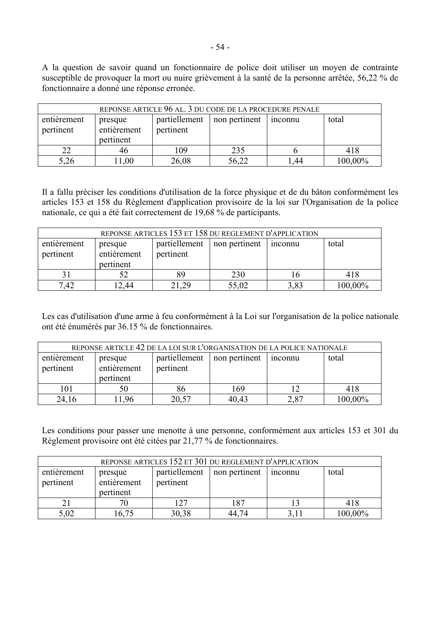A la question de savoir quand un fonctionnaire de police doit utiliser un moyen de contrainte susceptible de provoquer la mort ou nuire grièvement à la santé de la personne arrêtée, 56,22 % de fonctionnaire a donné une réponse erronée.

| REPONSE ARTICLE 96 AL. 3 DU CODE DE LA PROCEDURE PENALE |             |               |               |         |         |  |
|---------------------------------------------------------|-------------|---------------|---------------|---------|---------|--|
| entièrement                                             | presque     | partiellement | non pertinent | 1nconnu | total   |  |
| pertinent                                               | entièrement | pertinent     |               |         |         |  |
|                                                         | pertinent   |               |               |         |         |  |
| 22                                                      | 46          | 109           | 235           |         | 418     |  |
| 5,26                                                    | 1,00        | 26,08         | 56,22         | l.44    | 100,00% |  |

Il a fallu préciser les conditions d'utilisation de la force physique et de du bâton conformément les articles 153 et 158 du Règlement d'application provisoire de la loi sur l'Organisation de la police nationale, ce qui a été fait correctement de 19,68 % de participants.

| REPONSE ARTICLES 153 ET 158 DU REGLEMENT D'APPLICATION |                                     |                            |               |         |         |  |
|--------------------------------------------------------|-------------------------------------|----------------------------|---------------|---------|---------|--|
| entièrement<br>pertinent                               | presque<br>entièrement<br>pertinent | partiellement<br>pertinent | non pertinent | inconnu | total   |  |
|                                                        |                                     | 89                         | 230           |         | 418     |  |
| 7.42                                                   | 2,44                                | 21,29                      | 55,02         | 3,83    | 100,00% |  |

Les cas d'utilisation d'une arme à feu conformément à la Loi sur l'organisation de la police nationale ont été énumérés par 36.15 % de fonctionnaires.

| REPONSE ARTICLE 42 DE LA LOI SUR L'ORGANISATION DE LA POLICE NATIONALE |             |               |               |         |         |
|------------------------------------------------------------------------|-------------|---------------|---------------|---------|---------|
| entièrement                                                            | presque     | partiellement | non pertinent | inconnu | total   |
| pertinent                                                              | entièrement | pertinent     |               |         |         |
|                                                                        | pertinent   |               |               |         |         |
| 101                                                                    | 50          | 86            | 169           |         | 418     |
| 24,16                                                                  | 1.96        | 20,57         | 40,43         | 2,87    | 100,00% |

Les conditions pour passer une menotte à une personne, conformément aux articles 153 et 301 du Règlement provisoire ont été citées par 21,77 % de fonctionnaires.

| REPONSE ARTICLES 152 ET 301 DU REGLEMENT D'APPLICATION |                                     |                            |               |                |         |  |
|--------------------------------------------------------|-------------------------------------|----------------------------|---------------|----------------|---------|--|
| entièrement<br>pertinent                               | presque<br>entièrement<br>pertinent | partiellement<br>pertinent | non pertinent | <i>n</i> connu | total   |  |
| 21                                                     |                                     | 127                        | 187           |                | 418     |  |
| 5,02                                                   | 16,75                               | 30,38                      | 44,74         |                | 100,00% |  |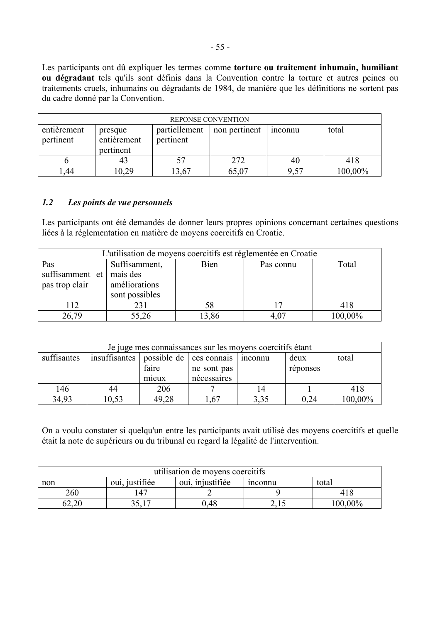Les participants ont dû expliquer les termes comme torture ou traitement inhumain, humiliant ou dégradant tels qu'ils sont définis dans la Convention contre la torture et autres peines ou traitements cruels, inhumains ou dégradants de 1984, de manière que les définitions ne sortent pas du cadre donné par la Convention.

|                          | REPONSE CONVENTION                  |                            |               |               |         |  |  |
|--------------------------|-------------------------------------|----------------------------|---------------|---------------|---------|--|--|
| entièrement<br>pertinent | presque<br>entièrement<br>pertinent | partiellement<br>pertinent | non pertinent | <i>nconnu</i> | total   |  |  |
|                          | 43                                  |                            | 272           | 40            | 418     |  |  |
| .44                      | 10,29                               | 3,67                       | 65,07         | 9,57          | 100,00% |  |  |

#### $1.2$ Les points de vue personnels

Les participants ont été demandés de donner leurs propres opinions concernant certaines questions liées à la réglementation en matière de moyens coercitifs en Croatie.

| L'utilisation de moyens coercitifs est réglementée en Croatie |                |       |           |         |  |  |
|---------------------------------------------------------------|----------------|-------|-----------|---------|--|--|
| Pas                                                           | Suffisamment,  | Bien  | Pas connu | Total   |  |  |
| suffisamment et                                               | mais des       |       |           |         |  |  |
| pas trop clair                                                | améliorations  |       |           |         |  |  |
|                                                               | sont possibles |       |           |         |  |  |
| 112                                                           | 231            | 58    |           | 418     |  |  |
| 26,79                                                         | 55,26          | 13,86 | 4,07      | 100,00% |  |  |

| Je juge mes connaissances sur les moyens coercitifs étant |                                       |       |             |                |          |         |  |
|-----------------------------------------------------------|---------------------------------------|-------|-------------|----------------|----------|---------|--|
| suffisantes                                               | insuffisantes possible de ces connais |       |             | <i>n</i> connu | deux     | total   |  |
|                                                           |                                       | faire | ne sont pas |                | réponses |         |  |
|                                                           |                                       | mieux | nécessaires |                |          |         |  |
| 146                                                       | 44                                    | 206   |             | 14             |          | 418     |  |
| 34,93                                                     | 10,53                                 | 49,28 | .67         | 3,35           | 0.24     | 100,00% |  |

On a voulu constater si quelqu'un entre les participants avait utilisé des moyens coercitifs et quelle était la note de supérieurs ou du tribunal eu regard la légalité de l'intervention.

| utilisation de moyens coercitifs |                                                        |      |  |         |  |  |  |
|----------------------------------|--------------------------------------------------------|------|--|---------|--|--|--|
| non                              | oui, justifiée<br>oui, injustifiée<br>total<br>inconnu |      |  |         |  |  |  |
| 260                              | .47                                                    |      |  | 418     |  |  |  |
|                                  |                                                        | 0.48 |  | 100,00% |  |  |  |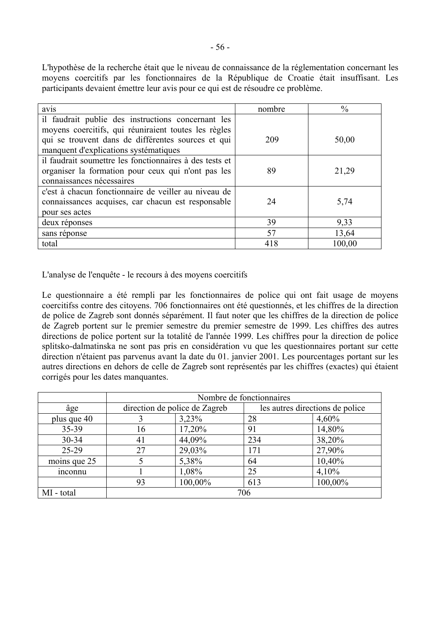L'hypothèse de la recherche était que le niveau de connaissance de la réglementation concernant les moyens coercitifs par les fonctionnaires de la République de Croatie était insuffisant. Les participants devaient émettre leur avis pour ce qui est de résoudre ce problème.

| avis                                                    | nombre | $\frac{0}{0}$ |
|---------------------------------------------------------|--------|---------------|
| il faudrait publie des instructions concernant les      |        |               |
| moyens coercitifs, qui réuniraient toutes les règles    |        |               |
| qui se trouvent dans de différentes sources et qui      | 209    | 50,00         |
| manquent d'explications systématiques                   |        |               |
| il faudrait soumettre les fonctionnaires à des tests et |        |               |
| organiser la formation pour ceux qui n'ont pas les      | 89     | 21,29         |
| connaissances nécessaires                               |        |               |
| c'est à chacun fonctionnaire de veiller au niveau de    |        |               |
| connaissances acquises, car chacun est responsable      | 24     | 5,74          |
| pour ses actes                                          |        |               |
| deux réponses                                           | 39     | 9,33          |
| sans réponse                                            | 57     | 13,64         |
| total                                                   | 418    | 100,00        |

L'analyse de l'enquête - le recours à des moyens coercitifs

Le questionnaire a été rempli par les fonctionnaires de police qui ont fait usage de moyens coercitifs contre des citoyens. 706 fonctionnaires ont été questionnés, et les chiffres de la direction de police de Zagreb sont donnés séparément. Il faut noter que les chiffres de la direction de police de Zagreb portent sur le premier semestre du premier semestre de 1999. Les chiffres des autres directions de police portent sur la totalité de l'année 1999. Les chiffres pour la direction de police splitsko-dalmatinska ne sont pas pris en considération vu que les questionnaires portant sur cette direction n'étaient pas parvenus avant la date du 01. janvier 2001. Les pourcentages portant sur les autres directions en dehors de celle de Zagreb sont représentés par les chiffres (exactes) qui étaient corrigés pour les dates manquantes.

|              | Nombre de fonctionnaires |                               |     |                                 |  |  |  |  |  |
|--------------|--------------------------|-------------------------------|-----|---------------------------------|--|--|--|--|--|
| âge          |                          | direction de police de Zagreb |     | les autres directions de police |  |  |  |  |  |
| plus que 40  |                          | 3,23%                         | 28  | 4,60%                           |  |  |  |  |  |
| 35-39        | 16                       | 17,20%                        | 91  | 14,80%                          |  |  |  |  |  |
| $30 - 34$    | 41                       | 44,09%                        | 234 | 38,20%                          |  |  |  |  |  |
| $25-29$      | 27                       | 29,03%                        | 171 | 27,90%                          |  |  |  |  |  |
| moins que 25 |                          | 5,38%                         | 64  | 10,40%                          |  |  |  |  |  |
| inconnu      |                          | 1,08%                         | 25  | 4,10%                           |  |  |  |  |  |
|              | 93                       |                               | 613 | 100,00%                         |  |  |  |  |  |
| MI - total   | 706                      |                               |     |                                 |  |  |  |  |  |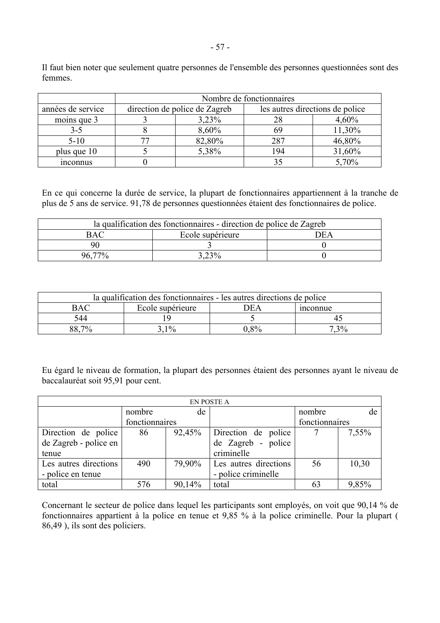|                   | Nombre de fonctionnaires |                               |                                 |        |  |  |  |  |  |  |
|-------------------|--------------------------|-------------------------------|---------------------------------|--------|--|--|--|--|--|--|
| années de service |                          | direction de police de Zagreb | les autres directions de police |        |  |  |  |  |  |  |
| moins que 3       |                          | 3,23%                         | 28                              | 4,60%  |  |  |  |  |  |  |
| $3-5$             |                          | 8,60%                         | 69                              | 11,30% |  |  |  |  |  |  |
| $5-10$            |                          | 82,80%                        | 287                             | 46,80% |  |  |  |  |  |  |
| plus que 10       |                          | 5,38%                         | 194                             | 31,60% |  |  |  |  |  |  |
| <i>n</i> connus   |                          |                               | 35                              | 5,70%  |  |  |  |  |  |  |

Il faut bien noter que seulement quatre personnes de l'ensemble des personnes questionnées sont des femmes.

En ce qui concerne la durée de service, la plupart de fonctionnaires appartiennent à la tranche de plus de 5 ans de service. 91,78 de personnes questionnées étaient des fonctionnaires de police.

| la qualification des fonctionnaires - direction de police de Zagreb |                          |  |  |  |  |  |  |  |  |
|---------------------------------------------------------------------|--------------------------|--|--|--|--|--|--|--|--|
| BAC                                                                 | Ecole supérieure<br>7E A |  |  |  |  |  |  |  |  |
|                                                                     |                          |  |  |  |  |  |  |  |  |
| 70/<br>-96 F                                                        | $3,23\%$                 |  |  |  |  |  |  |  |  |

| la qualification des fonctionnaires - les autres directions de police |                                     |    |  |  |  |  |  |  |  |
|-----------------------------------------------------------------------|-------------------------------------|----|--|--|--|--|--|--|--|
| <b>BAC</b>                                                            | 7E A<br>Ecole supérieure<br>mconnue |    |  |  |  |  |  |  |  |
| 544                                                                   |                                     |    |  |  |  |  |  |  |  |
| 70 <sub>6</sub>                                                       | 10/                                 | 8% |  |  |  |  |  |  |  |

Eu Ègard le niveau de formation, la plupart des personnes Ètaient des personnes ayant le niveau de baccalauréat soit 95,91 pour cent.

| EN POSTE A            |                |        |                       |                |       |  |  |  |  |  |  |
|-----------------------|----------------|--------|-----------------------|----------------|-------|--|--|--|--|--|--|
|                       | nombre         | de     |                       | nombre         | de    |  |  |  |  |  |  |
|                       | fonctionnaires |        |                       | fonctionnaires |       |  |  |  |  |  |  |
| Direction de police   | 86             | 92,45% | Direction de police   |                | 7,55% |  |  |  |  |  |  |
| de Zagreb - police en |                |        | de Zagreb - police    |                |       |  |  |  |  |  |  |
| tenue                 |                |        | criminelle            |                |       |  |  |  |  |  |  |
| Les autres directions | 490            | 79,90% | Les autres directions | 56             | 10,30 |  |  |  |  |  |  |
| - police en tenue     |                |        | - police criminelle   |                |       |  |  |  |  |  |  |
| total                 | 576            | 90,14% | total                 | 63             | 9,85% |  |  |  |  |  |  |

Concernant le secteur de police dans lequel les participants sont employés, on voit que 90,14 % de fonctionnaires appartient à la police en tenue et  $9.85\%$  à la police criminelle. Pour la plupart ( 86,49 ), ils sont des policiers.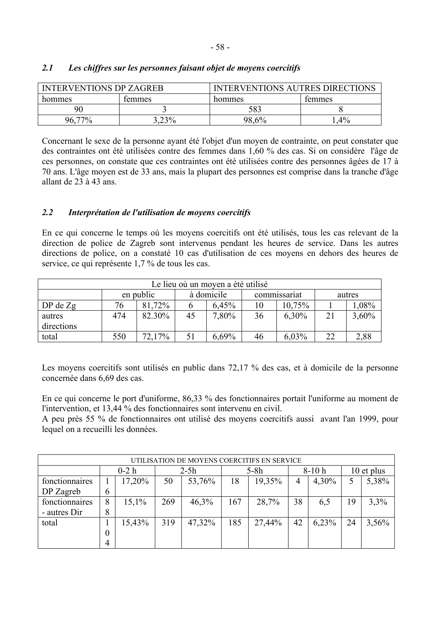| <b>INTERVENTIONS DP ZAGREB</b> |        | <b>INTERVENTIONS AUTRES DIRECTIONS</b> |        |  |  |  |
|--------------------------------|--------|----------------------------------------|--------|--|--|--|
| hommes                         | temmes | hommes                                 | temmes |  |  |  |
| 90                             |        | 583                                    |        |  |  |  |
| 96                             | .23%   | 98,6%                                  | $4\%$  |  |  |  |

# *2.1 Les chiffres sur les personnes faisant objet de moyens coercitifs*

Concernant le sexe de la personne ayant été l'objet d'un moyen de contrainte, on peut constater que des contraintes ont été utilisées contre des femmes dans 1,60 % des cas. Si on considère l'âge de ces personnes, on constate que ces contraintes ont été utilisées contre des personnes âgées de 17 à 70 ans. L'âge moyen est de 33 ans, mais la plupart des personnes est comprise dans la tranche d'âge allant de 23 à 43 ans.

# *2.2 InterprÈtation de l'utilisation de moyens coercitifs*

En ce qui concerne le temps où les moyens coercitifs ont été utilisés, tous les cas relevant de la direction de police de Zagreb sont intervenus pendant les heures de service. Dans les autres directions de police, on a constaté 10 cas d'utilisation de ces moyens en dehors des heures de service, ce qui représente 1,7 % de tous les cas.

| Le lieu où un moyen a été utilisé |     |           |    |                            |    |          |        |          |  |  |  |
|-----------------------------------|-----|-----------|----|----------------------------|----|----------|--------|----------|--|--|--|
|                                   |     | en public |    | à domicile<br>commissariat |    |          | autres |          |  |  |  |
| $DP$ de $Zg$                      | 76  | 81,72%    |    | 6,45%                      | 10 | 10,75%   |        | $1,08\%$ |  |  |  |
| autres                            | 474 | 82.30%    | 45 | 7,80%                      | 36 | 6,30%    | 21     | 3,60%    |  |  |  |
| directions                        |     |           |    |                            |    |          |        |          |  |  |  |
| total                             | 550 | 72,17%    |    | 6.69%                      | 46 | $6.03\%$ | 22     | 2,88     |  |  |  |

Les moyens coercitifs sont utilisés en public dans 72,17 % des cas, et à domicile de la personne concernée dans 6,69 des cas.

En ce qui concerne le port d'uniforme, 86,33 % des fonctionnaires portait l'uniforme au moment de l'intervention, et 13,44 % des fonctionnaires sont intervenu en civil.

A peu près 55 % de fonctionnaires ont utilisé des moyens coercitifs aussi avant l'an 1999, pour lequel on a recueilli les données.

| UTILISATION DE MOYENS COERCITIFS EN SERVICE |                |        |     |        |     |        |    |         |    |            |  |
|---------------------------------------------|----------------|--------|-----|--------|-----|--------|----|---------|----|------------|--|
|                                             |                | $0-2h$ |     | $2-5h$ |     | $5-8h$ |    | $8-10h$ |    | 10 et plus |  |
| fonctionnaires                              |                | 17,20% | 50  | 53,76% | 18  | 19,35% | 4  | 4,30%   | 5  | 5,38%      |  |
| DP Zagreb                                   | 6              |        |     |        |     |        |    |         |    |            |  |
| fonctionnaires                              | 8              | 15,1%  | 269 | 46,3%  | 167 | 28,7%  | 38 | 6,5     | 19 | 3,3%       |  |
| - autres Dir                                | 8              |        |     |        |     |        |    |         |    |            |  |
| total                                       |                | 15,43% | 319 | 47,32% | 185 | 27,44% | 42 | 6,23%   | 24 | 3,56%      |  |
|                                             | 0              |        |     |        |     |        |    |         |    |            |  |
|                                             | $\overline{4}$ |        |     |        |     |        |    |         |    |            |  |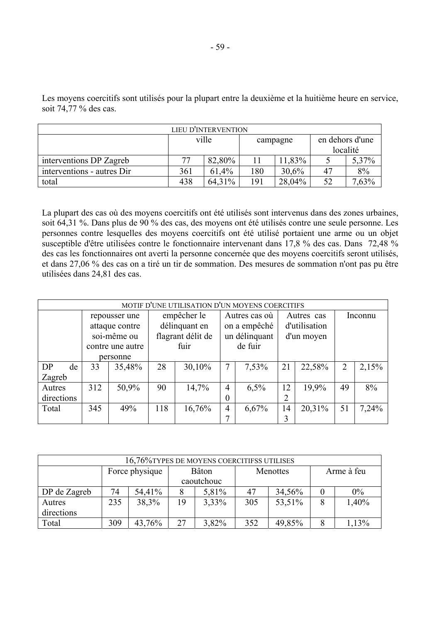| LIEU D'INTERVENTION        |     |        |     |          |                             |       |  |  |  |  |
|----------------------------|-----|--------|-----|----------|-----------------------------|-------|--|--|--|--|
|                            |     | ville  |     | campagne | en dehors d'une<br>localité |       |  |  |  |  |
| interventions DP Zagreb    | 77  | 82,80% |     | 11,83%   |                             | 5,37% |  |  |  |  |
| interventions - autres Dir | 361 | 61,4%  | 180 | 30.6%    | 47                          | 8%    |  |  |  |  |
| total                      | 438 | 64,31% | 191 | 28,04%   |                             | 7.63% |  |  |  |  |

Les moyens coercitifs sont utilisés pour la plupart entre la deuxième et la huitième heure en service, soit 74,77 % des cas.

La plupart des cas où des moyens coercitifs ont été utilisés sont intervenus dans des zones urbaines, soit 64,31 %. Dans plus de 90 % des cas, des moyens ont été utilisés contre une seule personne. Les personnes contre lesquelles des moyens coercitifs ont été utilisé portaient une arme ou un objet susceptible d'être utilisées contre le fonctionnaire intervenant dans 17,8 % des cas. Dans 72,48 % des cas les fonctionnaires ont averti la personne concernée que des moyens coercitifs seront utilisés, et dans 27,06 % des cas on a tiré un tir de sommation. Des mesures de sommation n'ont pas pu être utilisées dans 24,81 des cas.

|            | MOTIF D'UNE UTILISATION D'UN MOYENS COERCITIFS |                  |     |                   |                |               |    |               |                |       |  |  |  |
|------------|------------------------------------------------|------------------|-----|-------------------|----------------|---------------|----|---------------|----------------|-------|--|--|--|
|            |                                                | repousser une    |     | empêcher le       | Autres cas où  |               |    | Autres cas    | Inconnu        |       |  |  |  |
|            |                                                | attaque contre   |     | délinquant en     |                | on a empêché  |    | d'utilisation |                |       |  |  |  |
|            |                                                | soi-même ou      |     | flagrant délit de |                | un délinquant |    | d'un moyen    |                |       |  |  |  |
|            |                                                | contre une autre |     | fuir              |                | de fuir       |    |               |                |       |  |  |  |
|            |                                                | personne         |     |                   |                |               |    |               |                |       |  |  |  |
| DP<br>de   | 33                                             | 35,48%           | 28  | 30,10%            | 7              | 7,53%         | 21 | 22,58%        | $\overline{2}$ | 2,15% |  |  |  |
| Zagreb     |                                                |                  |     |                   |                |               |    |               |                |       |  |  |  |
| Autres     | 312                                            | 50,9%            | 90  | 14,7%             | 4              | 6,5%          | 12 | 19,9%         | 49             | 8%    |  |  |  |
| directions |                                                |                  |     |                   | 0              |               |    |               |                |       |  |  |  |
| Total      | 345                                            | 49%              | 118 | 16,76%            | $\overline{4}$ | 6,67%         | 14 | 20,31%        | 51             | 7,24% |  |  |  |
|            |                                                |                  |     |                   | 7              |               | 3  |               |                |       |  |  |  |

| 16,76% TYPES DE MOYENS COERCITIFSS UTILISES |     |                |    |               |     |          |            |       |  |  |
|---------------------------------------------|-----|----------------|----|---------------|-----|----------|------------|-------|--|--|
|                                             |     | Force physique |    | <b>B</b> âton |     | Menottes | Arme à feu |       |  |  |
|                                             |     |                |    | caoutchouc    |     |          |            |       |  |  |
| DP de Zagreb                                | 74  | 54,41%         |    | 5,81%         | 47  | 34,56%   |            | $0\%$ |  |  |
| Autres                                      | 235 | 38,3%          | 19 | $3,33\%$      | 305 | 53,51%   | 8          | 1,40% |  |  |
| directions                                  |     |                |    |               |     |          |            |       |  |  |
| Total                                       | 309 | 43,76%         | 27 | 3,82%         | 352 | 49,85%   | 8          | 1,13% |  |  |